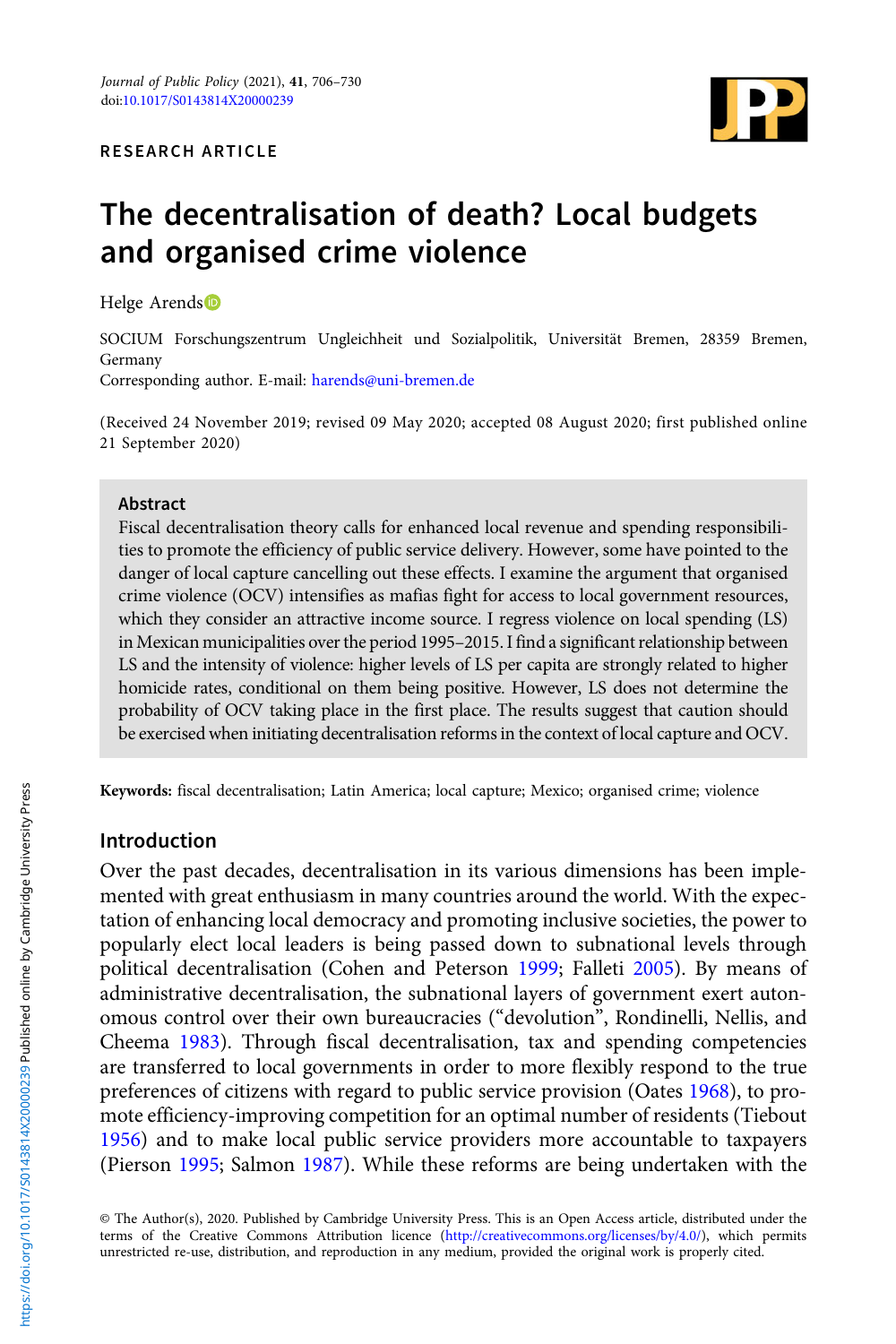

# The decentralisation of death? Local budgets and organised crime violence

Helge Arends<sup>D</sup>

SOCIUM Forschungszentrum Ungleichheit und Sozialpolitik, Universität Bremen, 28359 Bremen, Germany

Corresponding author. E-mail: [harends@uni-bremen.de](mailto:harends@uni-bremen.de)

(Received 24 November 2019; revised 09 May 2020; accepted 08 August 2020; first published online 21 September 2020)

## Abstract

Fiscal decentralisation theory calls for enhanced local revenue and spending responsibilities to promote the efficiency of public service delivery. However, some have pointed to the danger of local capture cancelling out these effects. I examine the argument that organised crime violence (OCV) intensifies as mafias fight for access to local government resources, which they consider an attractive income source. I regress violence on local spending (LS) in Mexican municipalities over the period 1995–2015. I find a significant relationship between LS and the intensity of violence: higher levels of LS per capita are strongly related to higher homicide rates, conditional on them being positive. However, LS does not determine the probability of OCV taking place in the first place. The results suggest that caution should be exercised when initiating decentralisation reforms in the context of local capture and OCV.

Keywords: fiscal decentralisation; Latin America; local capture; Mexico; organised crime; violence

# Introduction

Over the past decades, decentralisation in its various dimensions has been implemented with great enthusiasm in many countries around the world. With the expectation of enhancing local democracy and promoting inclusive societies, the power to popularly elect local leaders is being passed down to subnational levels through political decentralisation (Cohen and Peterson [1999;](#page-21-0) Falleti [2005](#page-21-0)). By means of administrative decentralisation, the subnational layers of government exert autonomous control over their own bureaucracies ("devolution", Rondinelli, Nellis, and Cheema [1983\)](#page-23-0). Through fiscal decentralisation, tax and spending competencies are transferred to local governments in order to more flexibly respond to the true preferences of citizens with regard to public service provision (Oates [1968\)](#page-22-0), to promote efficiency-improving competition for an optimal number of residents (Tiebout [1956\)](#page-23-0) and to make local public service providers more accountable to taxpayers (Pierson [1995](#page-23-0); Salmon [1987\)](#page-23-0). While these reforms are being undertaken with the

© The Author(s), 2020. Published by Cambridge University Press. This is an Open Access article, distributed under the terms of the Creative Commons Attribution licence [\(http://creativecommons.org/licenses/by/4.0/](http://creativecommons.org/licenses/by/4.0/)), which permits unrestricted re-use, distribution, and reproduction in any medium, provided the original work is properly cited.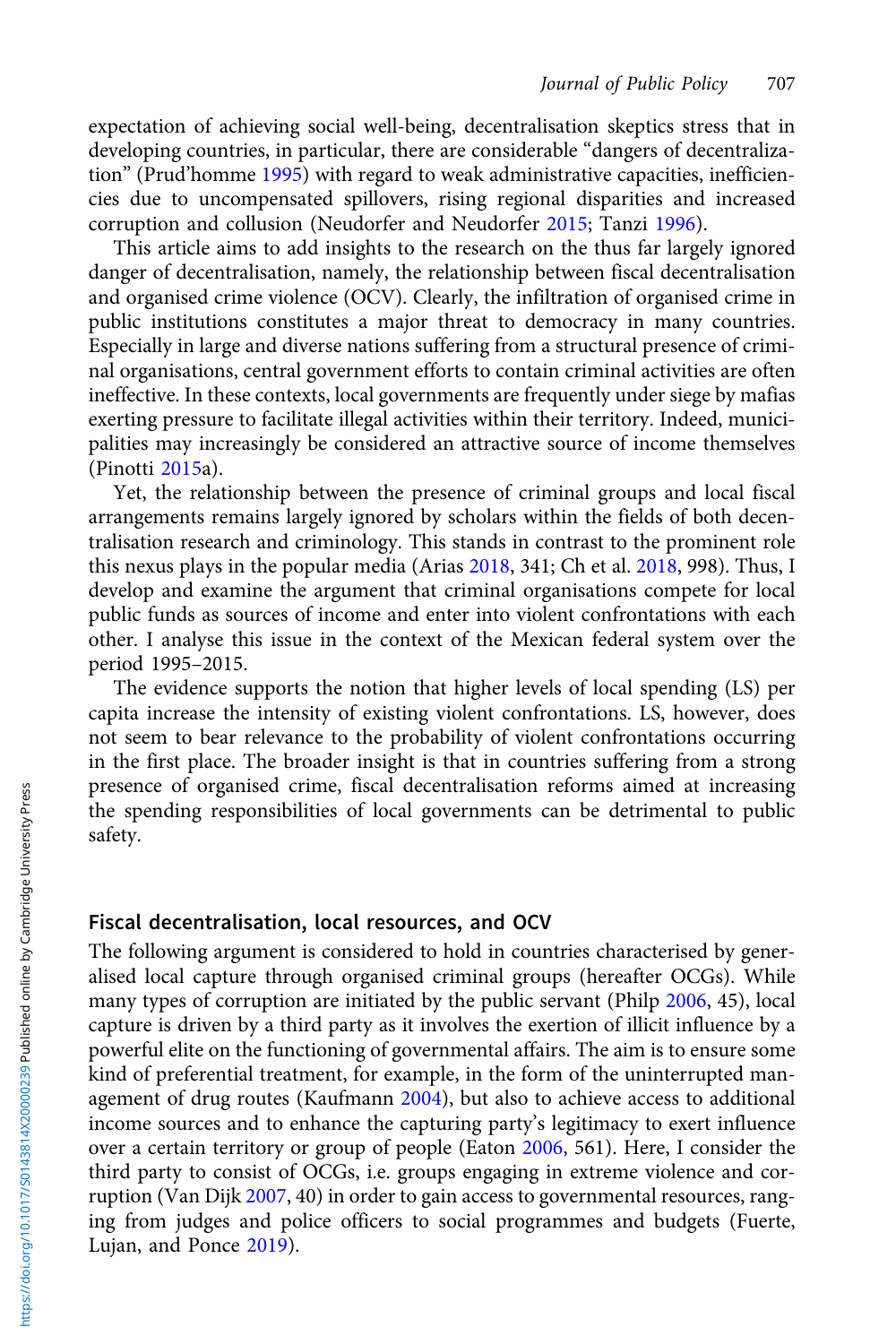expectation of achieving social well-being, decentralisation skeptics stress that in developing countries, in particular, there are considerable "dangers of decentralization" (Prud'homme [1995](#page-23-0)) with regard to weak administrative capacities, inefficiencies due to uncompensated spillovers, rising regional disparities and increased corruption and collusion (Neudorfer and Neudorfer [2015;](#page-22-0) Tanzi [1996\)](#page-23-0).

This article aims to add insights to the research on the thus far largely ignored danger of decentralisation, namely, the relationship between fiscal decentralisation and organised crime violence (OCV). Clearly, the infiltration of organised crime in public institutions constitutes a major threat to democracy in many countries. Especially in large and diverse nations suffering from a structural presence of criminal organisations, central government efforts to contain criminal activities are often ineffective. In these contexts, local governments are frequently under siege by mafias exerting pressure to facilitate illegal activities within their territory. Indeed, municipalities may increasingly be considered an attractive source of income themselves (Pinotti [2015](#page-23-0)a).

Yet, the relationship between the presence of criminal groups and local fiscal arrangements remains largely ignored by scholars within the fields of both decentralisation research and criminology. This stands in contrast to the prominent role this nexus plays in the popular media (Arias [2018](#page-21-0), 341; Ch et al. [2018,](#page-21-0) 998). Thus, I develop and examine the argument that criminal organisations compete for local public funds as sources of income and enter into violent confrontations with each other. I analyse this issue in the context of the Mexican federal system over the period 1995–2015.

The evidence supports the notion that higher levels of local spending (LS) per capita increase the intensity of existing violent confrontations. LS, however, does not seem to bear relevance to the probability of violent confrontations occurring in the first place. The broader insight is that in countries suffering from a strong presence of organised crime, fiscal decentralisation reforms aimed at increasing the spending responsibilities of local governments can be detrimental to public safety.

## Fiscal decentralisation, local resources, and OCV

The following argument is considered to hold in countries characterised by generalised local capture through organised criminal groups (hereafter OCGs). While many types of corruption are initiated by the public servant (Philp [2006,](#page-22-0) 45), local capture is driven by a third party as it involves the exertion of illicit influence by a powerful elite on the functioning of governmental affairs. The aim is to ensure some kind of preferential treatment, for example, in the form of the uninterrupted management of drug routes (Kaufmann  $2004$ ), but also to achieve access to additional income sources and to enhance the capturing party's legitimacy to exert influence over a certain territory or group of people (Eaton [2006,](#page-21-0) 561). Here, I consider the third party to consist of OCGs, i.e. groups engaging in extreme violence and corruption (Van Dijk [2007,](#page-24-0) 40) in order to gain access to governmental resources, ranging from judges and police officers to social programmes and budgets (Fuerte, Lujan, and Ponce [2019](#page-21-0)).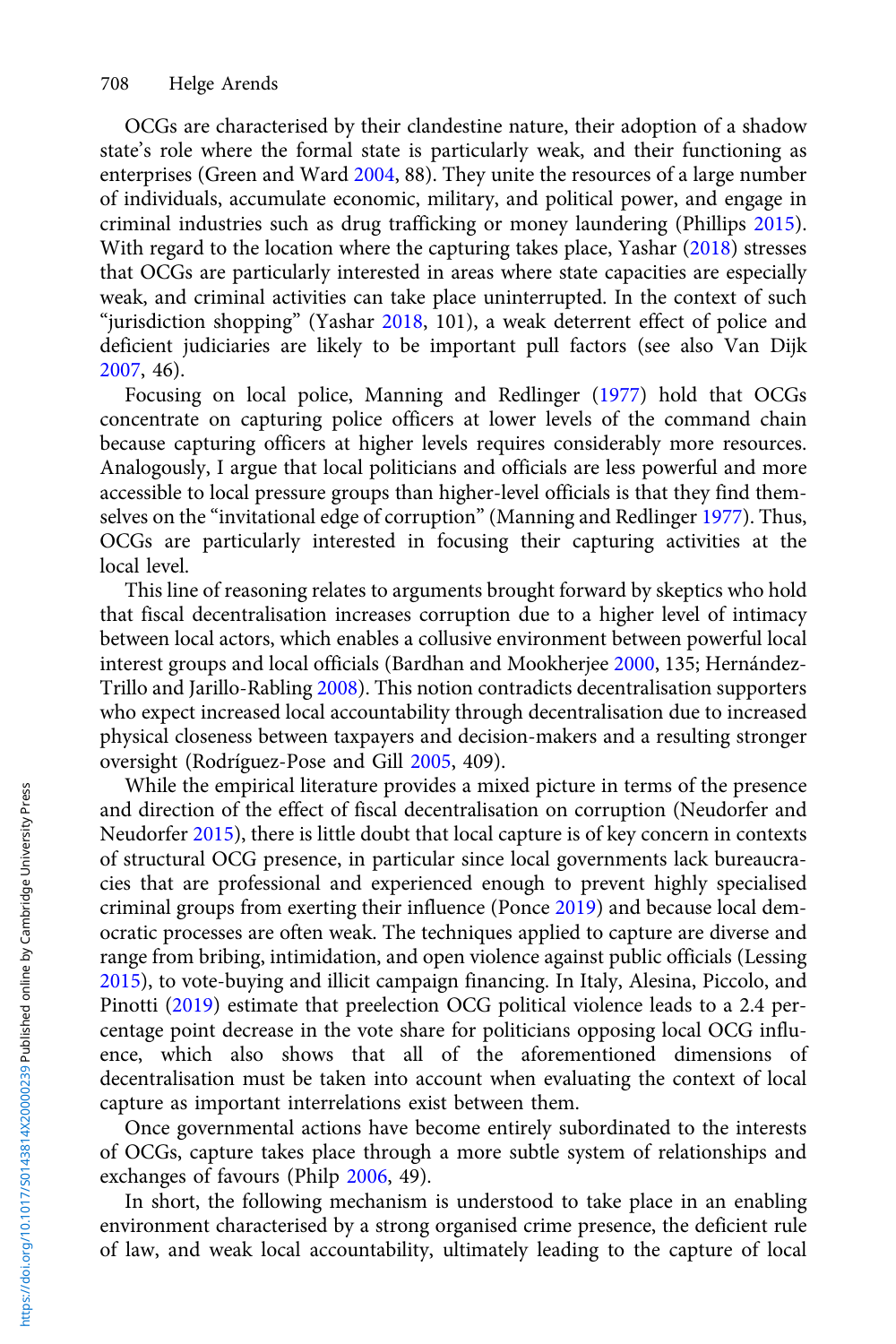OCGs are characterised by their clandestine nature, their adoption of a shadow state's role where the formal state is particularly weak, and their functioning as enterprises (Green and Ward [2004,](#page-21-0) 88). They unite the resources of a large number of individuals, accumulate economic, military, and political power, and engage in criminal industries such as drug trafficking or money laundering (Phillips [2015](#page-22-0)). With regard to the location where the capturing takes place, Yashar ([2018](#page-24-0)) stresses that OCGs are particularly interested in areas where state capacities are especially weak, and criminal activities can take place uninterrupted. In the context of such "jurisdiction shopping" (Yashar [2018](#page-24-0), 101), a weak deterrent effect of police and deficient judiciaries are likely to be important pull factors (see also Van Dijk [2007,](#page-24-0) 46).

Focusing on local police, Manning and Redlinger [\(1977\)](#page-22-0) hold that OCGs concentrate on capturing police officers at lower levels of the command chain because capturing officers at higher levels requires considerably more resources. Analogously, I argue that local politicians and officials are less powerful and more accessible to local pressure groups than higher-level officials is that they find themselves on the "invitational edge of corruption" (Manning and Redlinger [1977](#page-22-0)). Thus, OCGs are particularly interested in focusing their capturing activities at the local level.

This line of reasoning relates to arguments brought forward by skeptics who hold that fiscal decentralisation increases corruption due to a higher level of intimacy between local actors, which enables a collusive environment between powerful local interest groups and local officials (Bardhan and Mookherjee [2000,](#page-21-0) 135; Hernández-Trillo and Jarillo-Rabling [2008](#page-22-0)). This notion contradicts decentralisation supporters who expect increased local accountability through decentralisation due to increased physical closeness between taxpayers and decision-makers and a resulting stronger oversight (Rodríguez-Pose and Gill [2005,](#page-23-0) 409).

While the empirical literature provides a mixed picture in terms of the presence and direction of the effect of fiscal decentralisation on corruption (Neudorfer and Neudorfer [2015](#page-22-0)), there is little doubt that local capture is of key concern in contexts of structural OCG presence, in particular since local governments lack bureaucracies that are professional and experienced enough to prevent highly specialised criminal groups from exerting their influence (Ponce [2019\)](#page-23-0) and because local democratic processes are often weak. The techniques applied to capture are diverse and range from bribing, intimidation, and open violence against public officials (Lessing [2015\)](#page-22-0), to vote-buying and illicit campaign financing. In Italy, Alesina, Piccolo, and Pinotti ([2019\)](#page-20-0) estimate that preelection OCG political violence leads to a 2.4 percentage point decrease in the vote share for politicians opposing local OCG influence, which also shows that all of the aforementioned dimensions of decentralisation must be taken into account when evaluating the context of local capture as important interrelations exist between them.

Once governmental actions have become entirely subordinated to the interests of OCGs, capture takes place through a more subtle system of relationships and exchanges of favours (Philp [2006](#page-22-0), 49).

In short, the following mechanism is understood to take place in an enabling environment characterised by a strong organised crime presence, the deficient rule of law, and weak local accountability, ultimately leading to the capture of local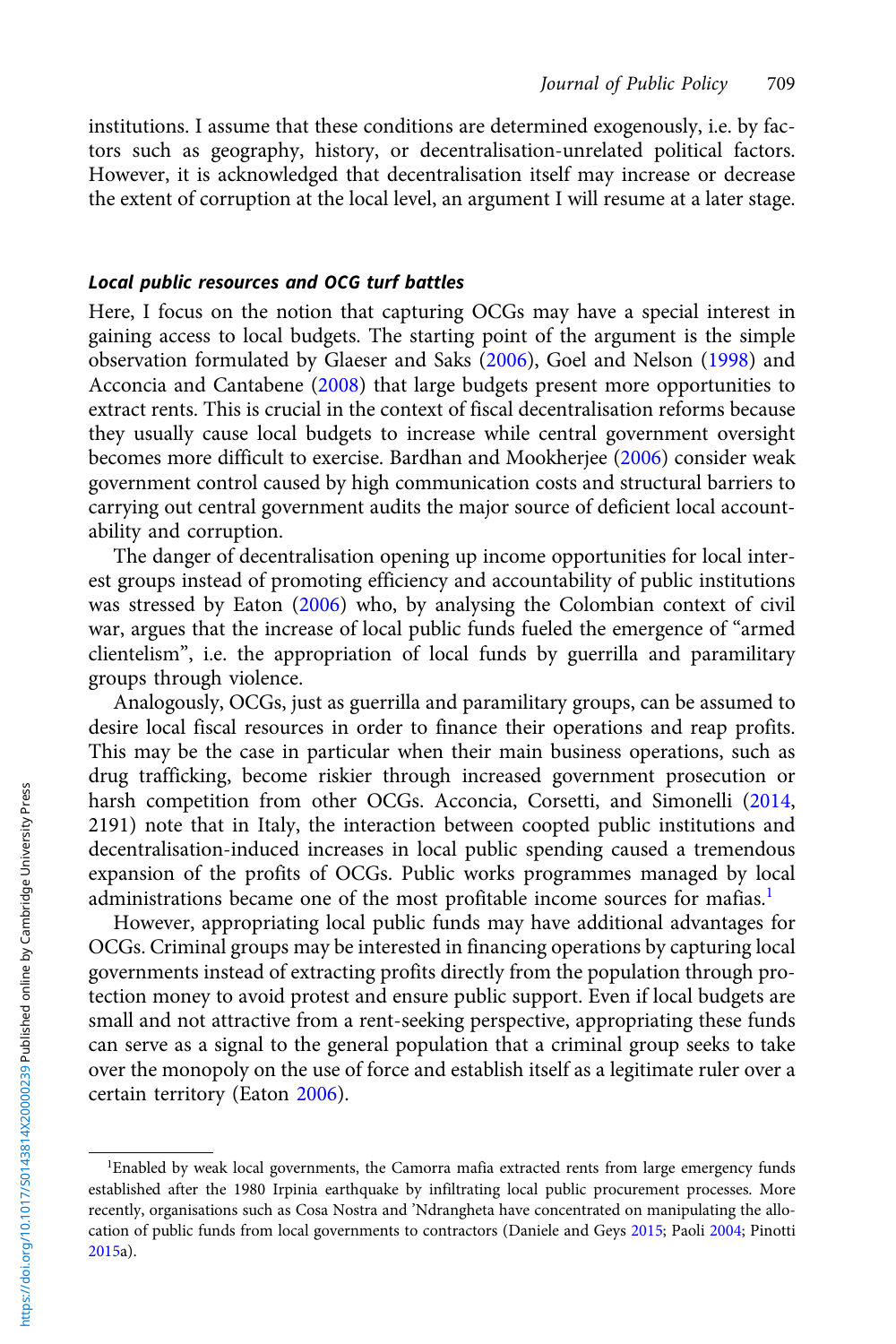institutions. I assume that these conditions are determined exogenously, i.e. by factors such as geography, history, or decentralisation-unrelated political factors. However, it is acknowledged that decentralisation itself may increase or decrease the extent of corruption at the local level, an argument I will resume at a later stage.

## Local public resources and OCG turf battles

Here, I focus on the notion that capturing OCGs may have a special interest in gaining access to local budgets. The starting point of the argument is the simple observation formulated by Glaeser and Saks ([2006](#page-21-0)), Goel and Nelson [\(1998](#page-21-0)) and Acconcia and Cantabene ([2008\)](#page-20-0) that large budgets present more opportunities to extract rents. This is crucial in the context of fiscal decentralisation reforms because they usually cause local budgets to increase while central government oversight becomes more difficult to exercise. Bardhan and Mookherjee [\(2006](#page-21-0)) consider weak government control caused by high communication costs and structural barriers to carrying out central government audits the major source of deficient local accountability and corruption.

The danger of decentralisation opening up income opportunities for local interest groups instead of promoting efficiency and accountability of public institutions was stressed by Eaton ([2006\)](#page-21-0) who, by analysing the Colombian context of civil war, argues that the increase of local public funds fueled the emergence of "armed clientelism", i.e. the appropriation of local funds by guerrilla and paramilitary groups through violence.

Analogously, OCGs, just as guerrilla and paramilitary groups, can be assumed to desire local fiscal resources in order to finance their operations and reap profits. This may be the case in particular when their main business operations, such as drug trafficking, become riskier through increased government prosecution or harsh competition from other OCGs. Acconcia, Corsetti, and Simonelli ([2014](#page-20-0), 2191) note that in Italy, the interaction between coopted public institutions and decentralisation-induced increases in local public spending caused a tremendous expansion of the profits of OCGs. Public works programmes managed by local administrations became one of the most profitable income sources for mafias.<sup>1</sup>

However, appropriating local public funds may have additional advantages for OCGs. Criminal groups may be interested in financing operations by capturing local governments instead of extracting profits directly from the population through protection money to avoid protest and ensure public support. Even if local budgets are small and not attractive from a rent-seeking perspective, appropriating these funds can serve as a signal to the general population that a criminal group seeks to take over the monopoly on the use of force and establish itself as a legitimate ruler over a certain territory (Eaton [2006](#page-21-0)).

<sup>&</sup>lt;sup>1</sup>Enabled by weak local governments, the Camorra mafia extracted rents from large emergency funds established after the 1980 Irpinia earthquake by infiltrating local public procurement processes. More recently, organisations such as Cosa Nostra and 'Ndrangheta have concentrated on manipulating the allocation of public funds from local governments to contractors (Daniele and Geys [2015;](#page-21-0) Paoli [2004;](#page-22-0) Pinotti [2015a](#page-23-0)).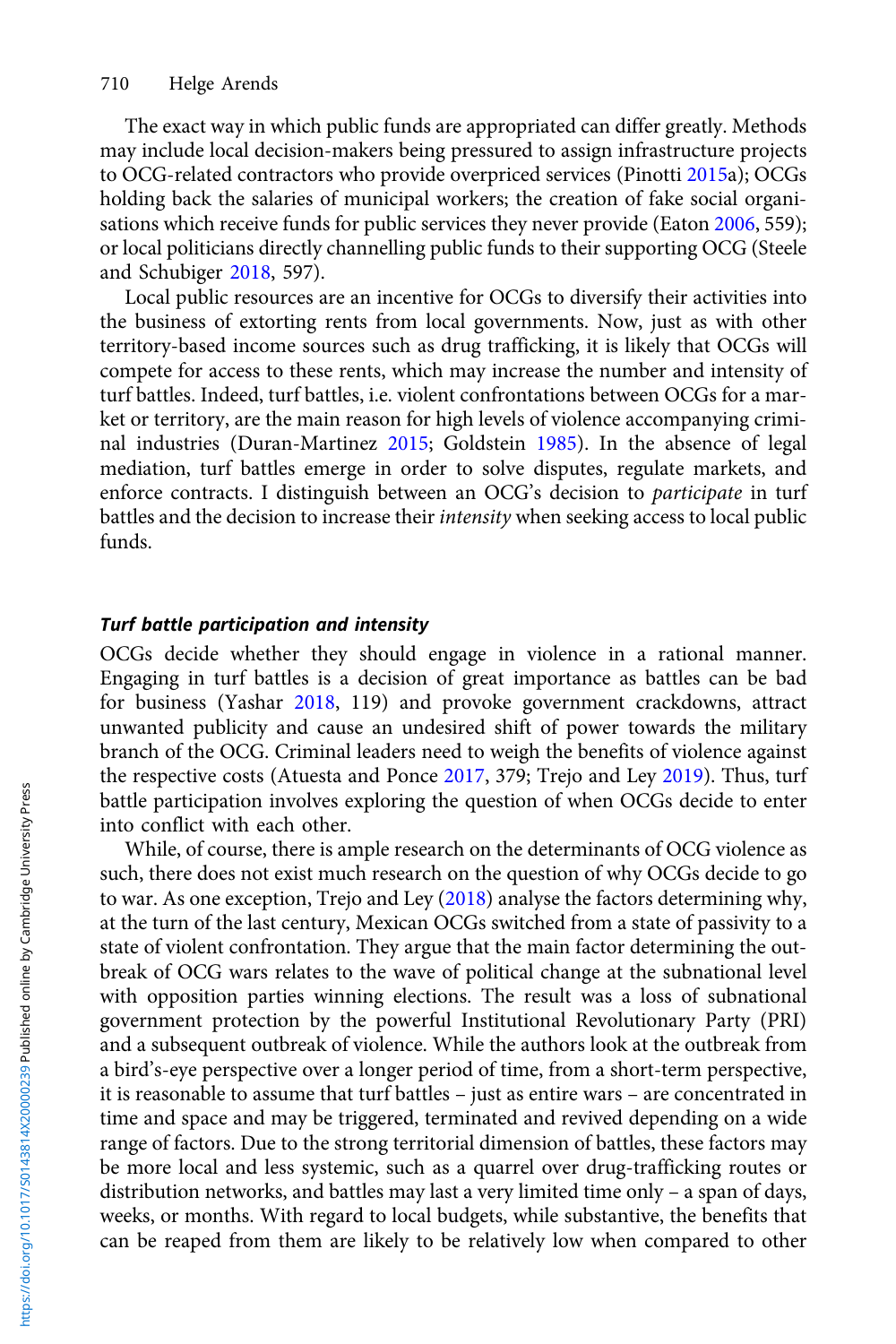The exact way in which public funds are appropriated can differ greatly. Methods may include local decision-makers being pressured to assign infrastructure projects to OCG-related contractors who provide overpriced services (Pinotti [2015a](#page-23-0)); OCGs holding back the salaries of municipal workers; the creation of fake social organi-sations which receive funds for public services they never provide (Eaton [2006](#page-21-0), 559); or local politicians directly channelling public funds to their supporting OCG (Steele and Schubiger [2018](#page-23-0), 597).

Local public resources are an incentive for OCGs to diversify their activities into the business of extorting rents from local governments. Now, just as with other territory-based income sources such as drug trafficking, it is likely that OCGs will compete for access to these rents, which may increase the number and intensity of turf battles. Indeed, turf battles, i.e. violent confrontations between OCGs for a market or territory, are the main reason for high levels of violence accompanying criminal industries (Duran-Martinez [2015](#page-21-0); Goldstein [1985](#page-21-0)). In the absence of legal mediation, turf battles emerge in order to solve disputes, regulate markets, and enforce contracts. I distinguish between an OCG's decision to participate in turf battles and the decision to increase their intensity when seeking access to local public funds.

## Turf battle participation and intensity

OCGs decide whether they should engage in violence in a rational manner. Engaging in turf battles is a decision of great importance as battles can be bad for business (Yashar [2018](#page-24-0), 119) and provoke government crackdowns, attract unwanted publicity and cause an undesired shift of power towards the military branch of the OCG. Criminal leaders need to weigh the benefits of violence against the respective costs (Atuesta and Ponce [2017](#page-21-0), 379; Trejo and Ley [2019](#page-23-0)). Thus, turf battle participation involves exploring the question of when OCGs decide to enter into conflict with each other.

While, of course, there is ample research on the determinants of OCG violence as such, there does not exist much research on the question of why OCGs decide to go to war. As one exception, Trejo and Ley [\(2018\)](#page-23-0) analyse the factors determining why, at the turn of the last century, Mexican OCGs switched from a state of passivity to a state of violent confrontation. They argue that the main factor determining the outbreak of OCG wars relates to the wave of political change at the subnational level with opposition parties winning elections. The result was a loss of subnational government protection by the powerful Institutional Revolutionary Party (PRI) and a subsequent outbreak of violence. While the authors look at the outbreak from a bird's-eye perspective over a longer period of time, from a short-term perspective, it is reasonable to assume that turf battles – just as entire wars – are concentrated in time and space and may be triggered, terminated and revived depending on a wide range of factors. Due to the strong territorial dimension of battles, these factors may be more local and less systemic, such as a quarrel over drug-trafficking routes or distribution networks, and battles may last a very limited time only – a span of days, weeks, or months. With regard to local budgets, while substantive, the benefits that can be reaped from them are likely to be relatively low when compared to other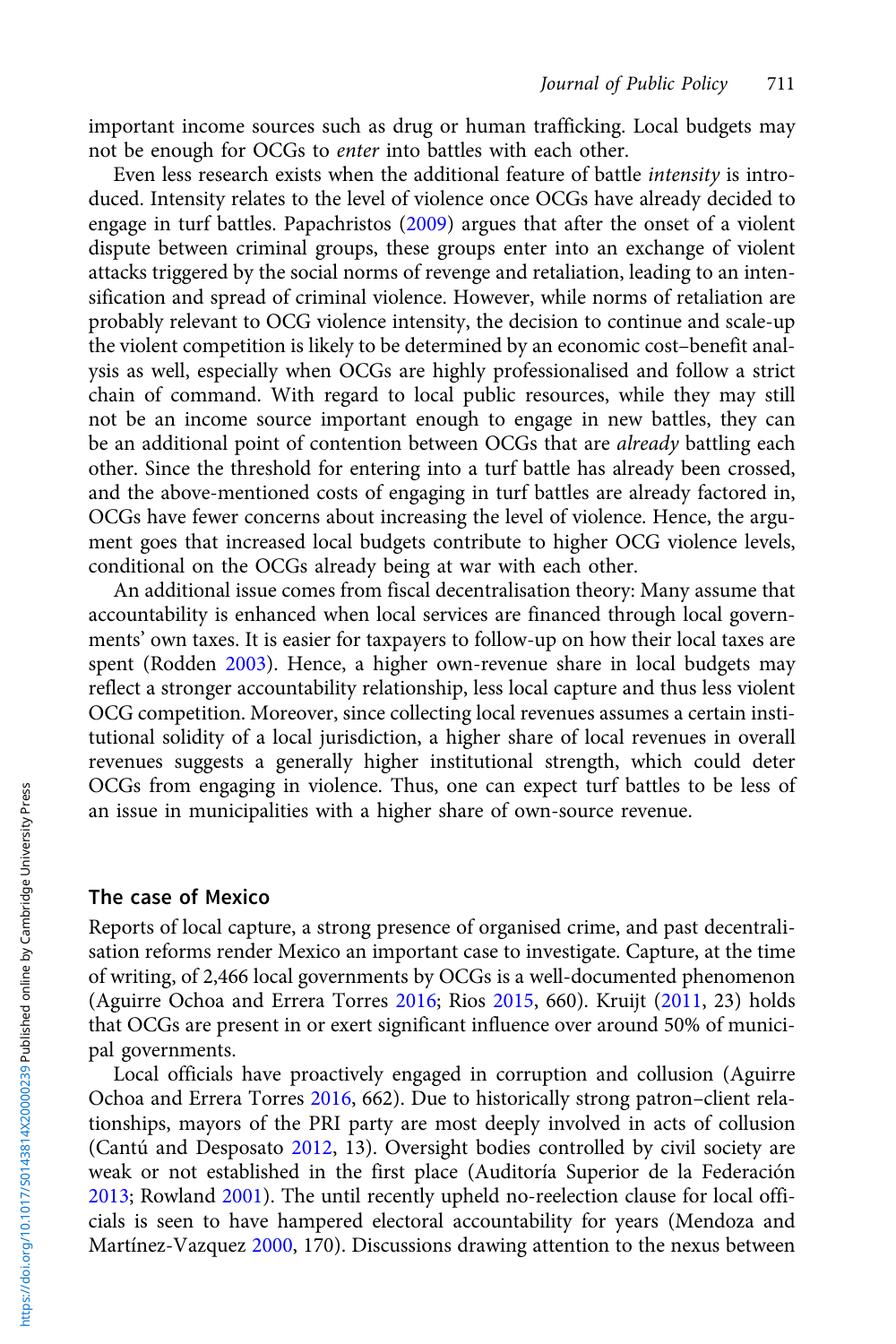important income sources such as drug or human trafficking. Local budgets may not be enough for OCGs to enter into battles with each other.

Even less research exists when the additional feature of battle intensity is introduced. Intensity relates to the level of violence once OCGs have already decided to engage in turf battles. Papachristos [\(2009\)](#page-22-0) argues that after the onset of a violent dispute between criminal groups, these groups enter into an exchange of violent attacks triggered by the social norms of revenge and retaliation, leading to an intensification and spread of criminal violence. However, while norms of retaliation are probably relevant to OCG violence intensity, the decision to continue and scale-up the violent competition is likely to be determined by an economic cost–benefit analysis as well, especially when OCGs are highly professionalised and follow a strict chain of command. With regard to local public resources, while they may still not be an income source important enough to engage in new battles, they can be an additional point of contention between OCGs that are *already* battling each other. Since the threshold for entering into a turf battle has already been crossed, and the above-mentioned costs of engaging in turf battles are already factored in, OCGs have fewer concerns about increasing the level of violence. Hence, the argument goes that increased local budgets contribute to higher OCG violence levels, conditional on the OCGs already being at war with each other.

An additional issue comes from fiscal decentralisation theory: Many assume that accountability is enhanced when local services are financed through local governments' own taxes. It is easier for taxpayers to follow-up on how their local taxes are spent (Rodden [2003](#page-23-0)). Hence, a higher own-revenue share in local budgets may reflect a stronger accountability relationship, less local capture and thus less violent OCG competition. Moreover, since collecting local revenues assumes a certain institutional solidity of a local jurisdiction, a higher share of local revenues in overall revenues suggests a generally higher institutional strength, which could deter OCGs from engaging in violence. Thus, one can expect turf battles to be less of an issue in municipalities with a higher share of own-source revenue.

#### The case of Mexico

Reports of local capture, a strong presence of organised crime, and past decentralisation reforms render Mexico an important case to investigate. Capture, at the time of writing, of 2,466 local governments by OCGs is a well-documented phenomenon (Aguirre Ochoa and Errera Torres [2016;](#page-20-0) Rios [2015,](#page-23-0) 660). Kruijt ([2011,](#page-22-0) 23) holds that OCGs are present in or exert significant influence over around 50% of municipal governments.

Local officials have proactively engaged in corruption and collusion (Aguirre Ochoa and Errera Torres [2016,](#page-20-0) 662). Due to historically strong patron–client relationships, mayors of the PRI party are most deeply involved in acts of collusion (Cantú and Desposato [2012,](#page-21-0) 13). Oversight bodies controlled by civil society are weak or not established in the first place (Auditoría Superior de la Federación [2013](#page-21-0); Rowland [2001](#page-23-0)). The until recently upheld no-reelection clause for local officials is seen to have hampered electoral accountability for years (Mendoza and Martínez-Vazquez [2000,](#page-22-0) 170). Discussions drawing attention to the nexus between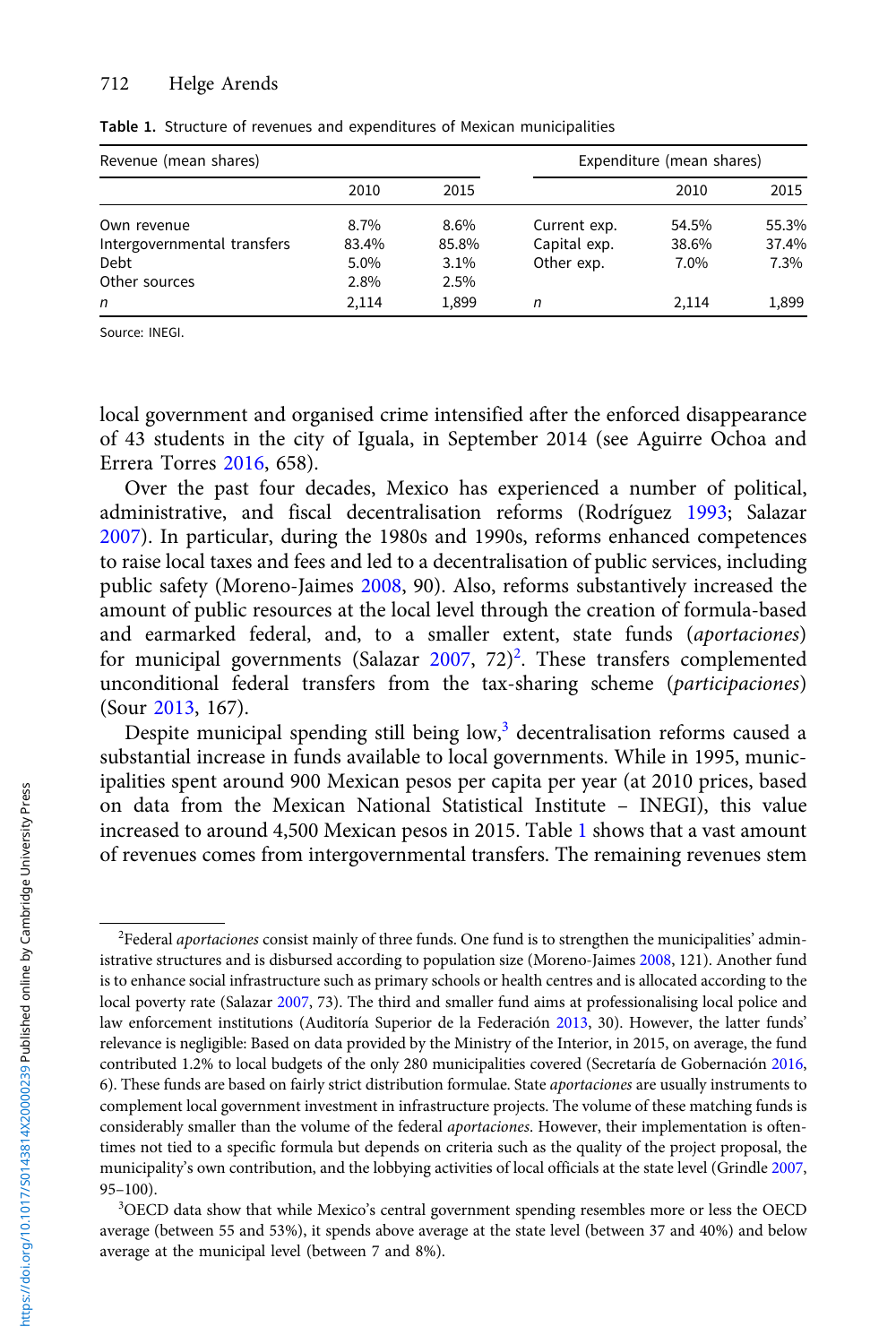#### 712 Helge Arends

| Revenue (mean shares)       |       |       |              | Expenditure (mean shares) |       |  |
|-----------------------------|-------|-------|--------------|---------------------------|-------|--|
|                             | 2010  | 2015  |              | 2010                      | 2015  |  |
| Own revenue                 | 8.7%  | 8.6%  | Current exp. | 54.5%                     | 55.3% |  |
| Intergovernmental transfers | 83.4% | 85.8% | Capital exp. | 38.6%                     | 37.4% |  |
| Debt                        | 5.0%  | 3.1%  | Other exp.   | 7.0%                      | 7.3%  |  |
| Other sources               | 2.8%  | 2.5%  |              |                           |       |  |
| n                           | 2.114 | 1.899 | n            | 2.114                     | 1.899 |  |

Table 1. Structure of revenues and expenditures of Mexican municipalities

Source: INEGI.

local government and organised crime intensified after the enforced disappearance of 43 students in the city of Iguala, in September 2014 (see Aguirre Ochoa and Errera Torres [2016](#page-20-0), 658).

Over the past four decades, Mexico has experienced a number of political, administrative, and fiscal decentralisation reforms (Rodríguez [1993;](#page-23-0) Salazar [2007\)](#page-23-0). In particular, during the 1980s and 1990s, reforms enhanced competences to raise local taxes and fees and led to a decentralisation of public services, including public safety (Moreno-Jaimes [2008](#page-22-0), 90). Also, reforms substantively increased the amount of public resources at the local level through the creation of formula-based and earmarked federal, and, to a smaller extent, state funds (aportaciones) for municipal governments (Salazar  $2007, 72)^2$  $2007, 72)^2$ . These transfers complemented unconditional federal transfers from the tax-sharing scheme (participaciones) (Sour [2013,](#page-23-0) 167).

Despite municipal spending still being low, $3$  decentralisation reforms caused a substantial increase in funds available to local governments. While in 1995, municipalities spent around 900 Mexican pesos per capita per year (at 2010 prices, based on data from the Mexican National Statistical Institute – INEGI), this value increased to around 4,500 Mexican pesos in 2015. Table 1 shows that a vast amount of revenues comes from intergovernmental transfers. The remaining revenues stem

 ${}^{2}$ Federal *aportaciones* consist mainly of three funds. One fund is to strengthen the municipalities' administrative structures and is disbursed according to population size (Moreno-Jaimes [2008,](#page-22-0) 121). Another fund is to enhance social infrastructure such as primary schools or health centres and is allocated according to the local poverty rate (Salazar [2007,](#page-23-0) 73). The third and smaller fund aims at professionalising local police and law enforcement institutions (Auditoría Superior de la Federación [2013,](#page-21-0) 30). However, the latter funds' relevance is negligible: Based on data provided by the Ministry of the Interior, in 2015, on average, the fund contributed 1.2% to local budgets of the only 280 municipalities covered (Secretaría de Gobernación [2016](#page-23-0), 6). These funds are based on fairly strict distribution formulae. State aportaciones are usually instruments to complement local government investment in infrastructure projects. The volume of these matching funds is considerably smaller than the volume of the federal aportaciones. However, their implementation is oftentimes not tied to a specific formula but depends on criteria such as the quality of the project proposal, the municipality's own contribution, and the lobbying activities of local officials at the state level (Grindle [2007](#page-22-0), 95–100).

<sup>3</sup> OECD data show that while Mexico's central government spending resembles more or less the OECD average (between 55 and 53%), it spends above average at the state level (between 37 and 40%) and below average at the municipal level (between 7 and 8%).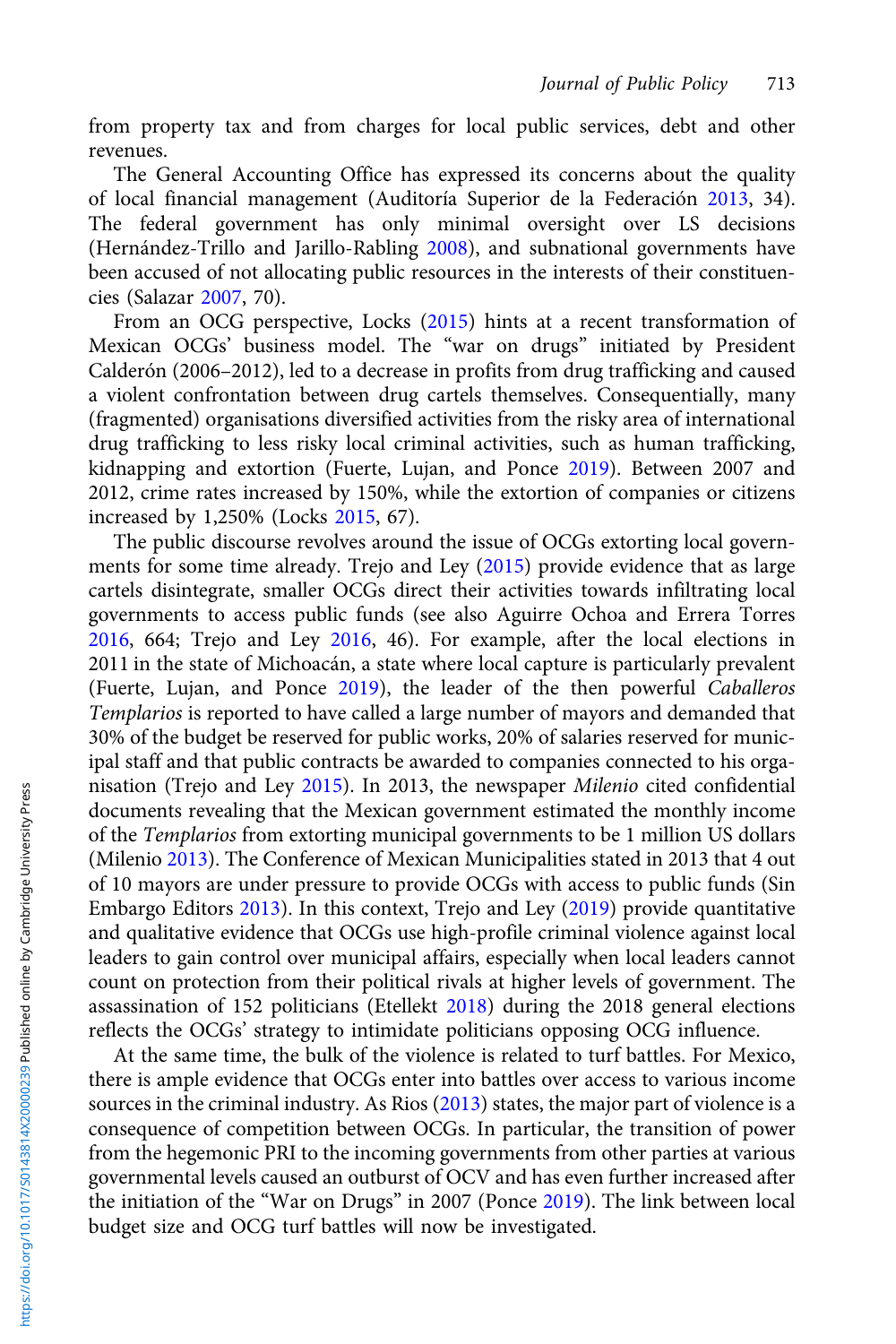from property tax and from charges for local public services, debt and other revenues.

The General Accounting Office has expressed its concerns about the quality of local financial management (Auditoría Superior de la Federación [2013,](#page-21-0) 34). The federal government has only minimal oversight over LS decisions (Hernández-Trillo and Jarillo-Rabling [2008\)](#page-22-0), and subnational governments have been accused of not allocating public resources in the interests of their constituencies (Salazar [2007](#page-23-0), 70).

From an OCG perspective, Locks ([2015](#page-22-0)) hints at a recent transformation of Mexican OCGs' business model. The "war on drugs" initiated by President Calderón (2006–2012), led to a decrease in profits from drug trafficking and caused a violent confrontation between drug cartels themselves. Consequentially, many (fragmented) organisations diversified activities from the risky area of international drug trafficking to less risky local criminal activities, such as human trafficking, kidnapping and extortion (Fuerte, Lujan, and Ponce [2019\)](#page-21-0). Between 2007 and 2012, crime rates increased by 150%, while the extortion of companies or citizens increased by 1,250% (Locks [2015,](#page-22-0) 67).

The public discourse revolves around the issue of OCGs extorting local governments for some time already. Trejo and Ley [\(2015](#page-23-0)) provide evidence that as large cartels disintegrate, smaller OCGs direct their activities towards infiltrating local governments to access public funds (see also Aguirre Ochoa and Errera Torres [2016](#page-20-0), 664; Trejo and Ley [2016,](#page-23-0) 46). For example, after the local elections in 2011 in the state of Michoacán, a state where local capture is particularly prevalent (Fuerte, Lujan, and Ponce [2019](#page-21-0)), the leader of the then powerful Caballeros Templarios is reported to have called a large number of mayors and demanded that 30% of the budget be reserved for public works, 20% of salaries reserved for municipal staff and that public contracts be awarded to companies connected to his organisation (Trejo and Ley [2015\)](#page-23-0). In 2013, the newspaper Milenio cited confidential documents revealing that the Mexican government estimated the monthly income of the Templarios from extorting municipal governments to be 1 million US dollars (Milenio [2013\)](#page-22-0). The Conference of Mexican Municipalities stated in 2013 that 4 out of 10 mayors are under pressure to provide OCGs with access to public funds (Sin Embargo Editors [2013\)](#page-23-0). In this context, Trejo and Ley [\(2019](#page-23-0)) provide quantitative and qualitative evidence that OCGs use high-profile criminal violence against local leaders to gain control over municipal affairs, especially when local leaders cannot count on protection from their political rivals at higher levels of government. The assassination of 152 politicians (Etellekt [2018](#page-21-0)) during the 2018 general elections reflects the OCGs' strategy to intimidate politicians opposing OCG influence.

At the same time, the bulk of the violence is related to turf battles. For Mexico, there is ample evidence that OCGs enter into battles over access to various income sources in the criminal industry. As Rios ([2013](#page-23-0)) states, the major part of violence is a consequence of competition between OCGs. In particular, the transition of power from the hegemonic PRI to the incoming governments from other parties at various governmental levels caused an outburst of OCV and has even further increased after the initiation of the "War on Drugs" in 2007 (Ponce [2019\)](#page-23-0). The link between local budget size and OCG turf battles will now be investigated.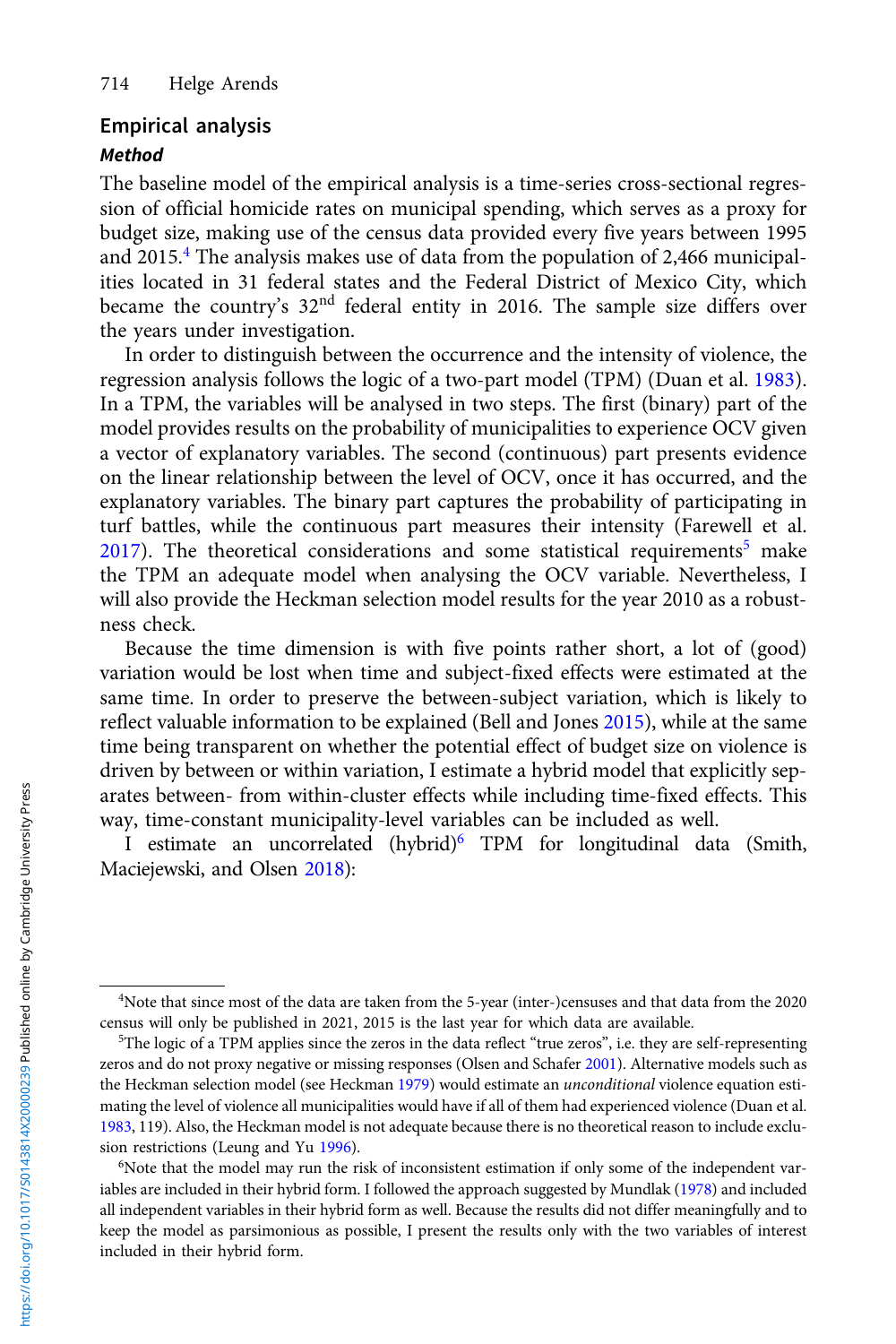## Empirical analysis

## Method

The baseline model of the empirical analysis is a time-series cross-sectional regression of official homicide rates on municipal spending, which serves as a proxy for budget size, making use of the census data provided every five years between 1995 and 2015. $4$ <sup>4</sup> The analysis makes use of data from the population of 2,466 municipalities located in 31 federal states and the Federal District of Mexico City, which became the country's  $32<sup>nd</sup>$  federal entity in 2016. The sample size differs over the years under investigation.

In order to distinguish between the occurrence and the intensity of violence, the regression analysis follows the logic of a two-part model (TPM) (Duan et al. [1983](#page-21-0)). In a TPM, the variables will be analysed in two steps. The first (binary) part of the model provides results on the probability of municipalities to experience OCV given a vector of explanatory variables. The second (continuous) part presents evidence on the linear relationship between the level of OCV, once it has occurred, and the explanatory variables. The binary part captures the probability of participating in turf battles, while the continuous part measures their intensity (Farewell et al.  $2017$ ). The theoretical considerations and some statistical requirements<sup>5</sup> make the TPM an adequate model when analysing the OCV variable. Nevertheless, I will also provide the Heckman selection model results for the year 2010 as a robustness check.

Because the time dimension is with five points rather short, a lot of (good) variation would be lost when time and subject-fixed effects were estimated at the same time. In order to preserve the between-subject variation, which is likely to reflect valuable information to be explained (Bell and Jones [2015\)](#page-21-0), while at the same time being transparent on whether the potential effect of budget size on violence is driven by between or within variation, I estimate a hybrid model that explicitly separates between- from within-cluster effects while including time-fixed effects. This way, time-constant municipality-level variables can be included as well.

I estimate an uncorrelated (hybrid)<sup>6</sup> TPM for longitudinal data (Smith, Maciejewski, and Olsen [2018](#page-23-0)):

<sup>4</sup> Note that since most of the data are taken from the 5-year (inter-)censuses and that data from the 2020 census will only be published in 2021, 2015 is the last year for which data are available.

<sup>5</sup> The logic of a TPM applies since the zeros in the data reflect "true zeros", i.e. they are self-representing zeros and do not proxy negative or missing responses (Olsen and Schafer [2001\)](#page-22-0). Alternative models such as the Heckman selection model (see Heckman [1979\)](#page-22-0) would estimate an *unconditional* violence equation estimating the level of violence all municipalities would have if all of them had experienced violence (Duan et al. [1983](#page-21-0), 119). Also, the Heckman model is not adequate because there is no theoretical reason to include exclusion restrictions (Leung and Yu [1996\)](#page-22-0).

<sup>&</sup>lt;sup>6</sup>Note that the model may run the risk of inconsistent estimation if only some of the independent variables are included in their hybrid form. I followed the approach suggested by Mundlak ([1978](#page-22-0)) and included all independent variables in their hybrid form as well. Because the results did not differ meaningfully and to keep the model as parsimonious as possible, I present the results only with the two variables of interest included in their hybrid form.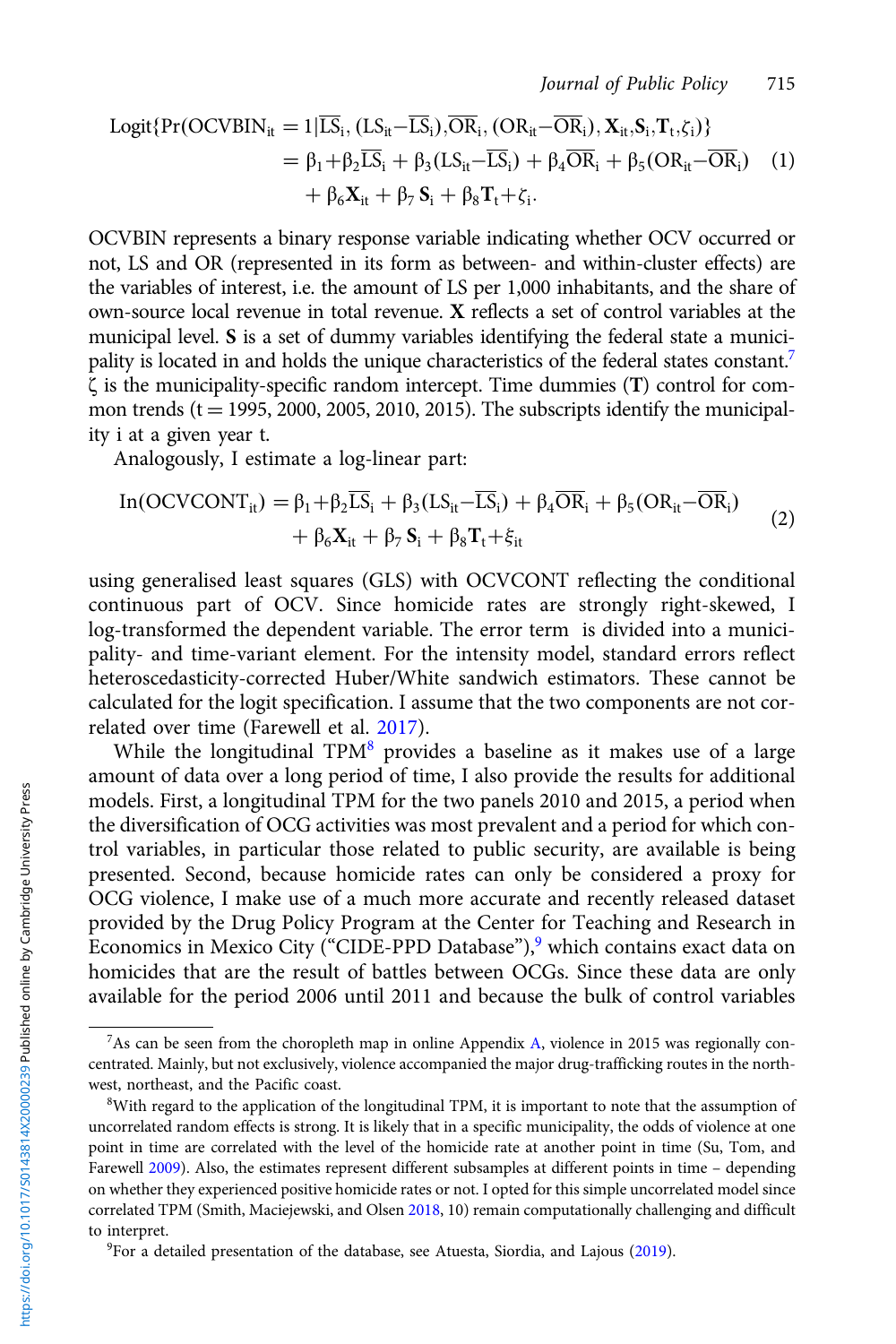Logit{Pr(OCVBIN<sub>it</sub> = 1|
$$
\overline{LS}_i
$$
, (LS<sub>it</sub> - $\overline{LS}_i$ ), $\overline{OR}_i$ , (OR<sub>it</sub>- $\overline{OR}_i$ ),  $X_{it}$ , $S_i$ , $T_t$ , $\zeta_i$ )}  
=  $\beta_1 + \beta_2 \overline{LS}_i + \beta_3 (LS_{it} - \overline{LS}_i) + \beta_4 \overline{OR}_i + \beta_5 (OR_{it} - \overline{OR}_i)$  (1)  
+  $\beta_6 X_{it} + \beta_7 S_i + \beta_8 T_t + \zeta_i$ .

OCVBIN represents a binary response variable indicating whether OCV occurred or not, LS and OR (represented in its form as between- and within-cluster effects) are the variables of interest, i.e. the amount of LS per 1,000 inhabitants, and the share of own-source local revenue in total revenue. X reflects a set of control variables at the municipal level. S is a set of dummy variables identifying the federal state a municipality is located in and holds the unique characteristics of the federal states constant.<sup>7</sup> ζ is the municipality-specific random intercept. Time dummies (T) control for common trends ( $t = 1995$ , 2000, 2005, 2010, 2015). The subscripts identify the municipality i at a given year t.

Analogously, I estimate a log-linear part:

$$
\begin{split} \text{In(OCVCONT}_{it}) &= \beta_1 + \beta_2 \overline{\text{LS}}_i + \beta_3 (\text{LS}_{it} - \overline{\text{LS}}_i) + \beta_4 \overline{\text{OR}}_i + \beta_5 (\text{OR}_{it} - \overline{\text{OR}}_i) \\ &+ \beta_6 \text{X}_{it} + \beta_7 \text{S}_i + \beta_8 \text{T}_t + \xi_{it} \end{split} \tag{2}
$$

using generalised least squares (GLS) with OCVCONT reflecting the conditional continuous part of OCV. Since homicide rates are strongly right-skewed, I log-transformed the dependent variable. The error term is divided into a municipality- and time-variant element. For the intensity model, standard errors reflect heteroscedasticity-corrected Huber/White sandwich estimators. These cannot be calculated for the logit specification. I assume that the two components are not correlated over time (Farewell et al. [2017\)](#page-21-0).

While the longitudinal TPM<sup>8</sup> provides a baseline as it makes use of a large amount of data over a long period of time, I also provide the results for additional models. First, a longitudinal TPM for the two panels 2010 and 2015, a period when the diversification of OCG activities was most prevalent and a period for which control variables, in particular those related to public security, are available is being presented. Second, because homicide rates can only be considered a proxy for OCG violence, I make use of a much more accurate and recently released dataset provided by the Drug Policy Program at the Center for Teaching and Research in Economics in Mexico City ("CIDE-PPD Database"),<sup>9</sup> which contains exact data on homicides that are the result of battles between OCGs. Since these data are only available for the period 2006 until 2011 and because the bulk of control variables

<sup>7</sup> As can be seen from the choropleth map in online Appendix [A](https://doi.org/10.1017/S0143814X20000239), violence in 2015 was regionally concentrated. Mainly, but not exclusively, violence accompanied the major drug-trafficking routes in the northwest, northeast, and the Pacific coast.

<sup>8</sup> With regard to the application of the longitudinal TPM, it is important to note that the assumption of uncorrelated random effects is strong. It is likely that in a specific municipality, the odds of violence at one point in time are correlated with the level of the homicide rate at another point in time (Su, Tom, and Farewell [2009\)](#page-23-0). Also, the estimates represent different subsamples at different points in time – depending on whether they experienced positive homicide rates or not. I opted for this simple uncorrelated model since correlated TPM (Smith, Maciejewski, and Olsen [2018,](#page-23-0) 10) remain computationally challenging and difficult to interpret.

<sup>&</sup>lt;sup>9</sup>For a detailed presentation of the database, see Atuesta, Siordia, and Lajous [\(2019\)](#page-21-0).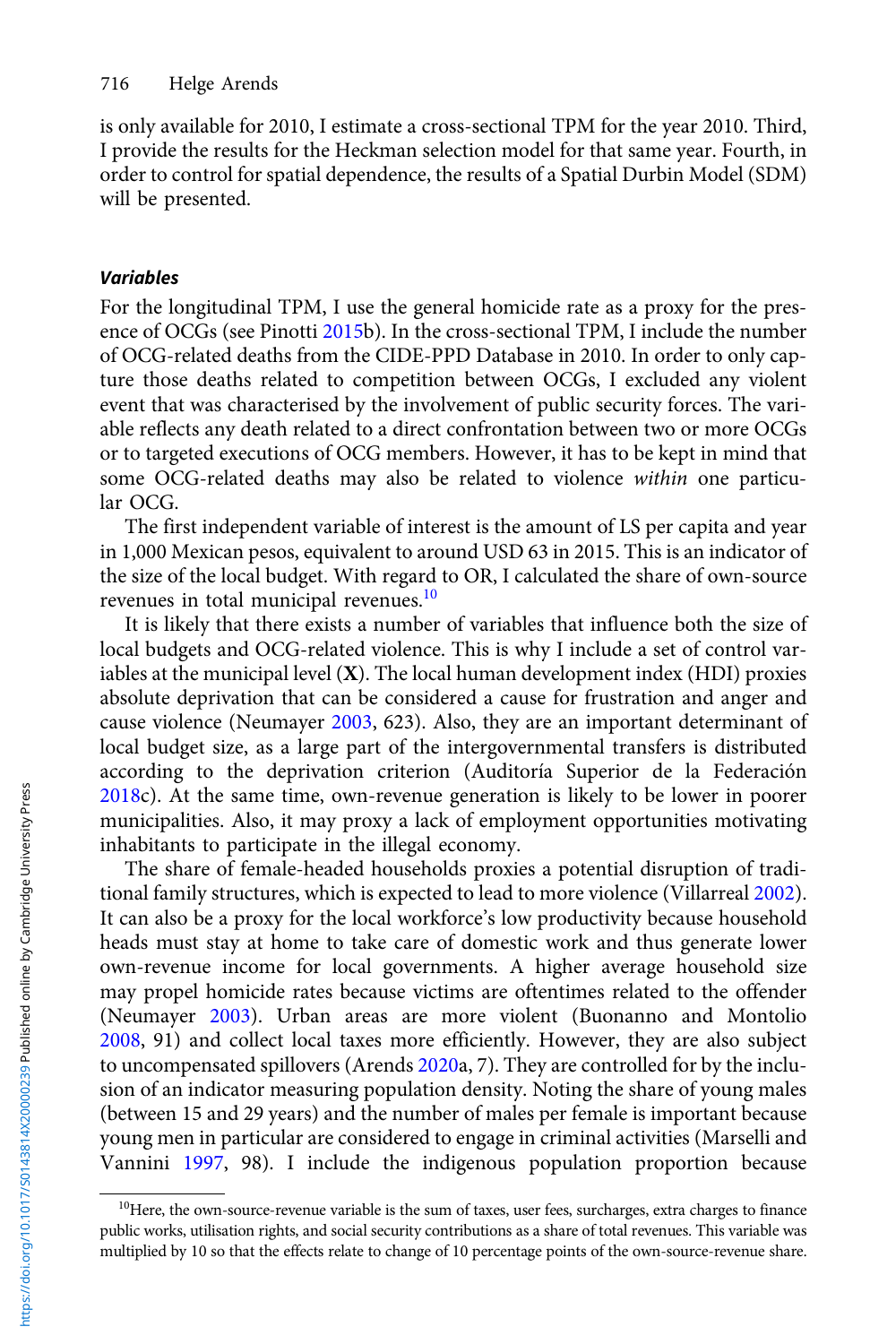is only available for 2010, I estimate a cross-sectional TPM for the year 2010. Third, I provide the results for the Heckman selection model for that same year. Fourth, in order to control for spatial dependence, the results of a Spatial Durbin Model (SDM) will be presented.

## Variables

For the longitudinal TPM, I use the general homicide rate as a proxy for the presence of OCGs (see Pinotti [2015b](#page-23-0)). In the cross-sectional TPM, I include the number of OCG-related deaths from the CIDE-PPD Database in 2010. In order to only capture those deaths related to competition between OCGs, I excluded any violent event that was characterised by the involvement of public security forces. The variable reflects any death related to a direct confrontation between two or more OCGs or to targeted executions of OCG members. However, it has to be kept in mind that some OCG-related deaths may also be related to violence within one particular OCG.

The first independent variable of interest is the amount of LS per capita and year in 1,000 Mexican pesos, equivalent to around USD 63 in 2015. This is an indicator of the size of the local budget. With regard to OR, I calculated the share of own-source revenues in total municipal revenues.10

It is likely that there exists a number of variables that influence both the size of local budgets and OCG-related violence. This is why I include a set of control variables at the municipal level  $(X)$ . The local human development index  $(HDI)$  proxies absolute deprivation that can be considered a cause for frustration and anger and cause violence (Neumayer [2003](#page-22-0), 623). Also, they are an important determinant of local budget size, as a large part of the intergovernmental transfers is distributed according to the deprivation criterion (Auditoría Superior de la Federación [2018c](#page-21-0)). At the same time, own-revenue generation is likely to be lower in poorer municipalities. Also, it may proxy a lack of employment opportunities motivating inhabitants to participate in the illegal economy.

The share of female-headed households proxies a potential disruption of traditional family structures, which is expected to lead to more violence (Villarreal [2002](#page-24-0)). It can also be a proxy for the local workforce's low productivity because household heads must stay at home to take care of domestic work and thus generate lower own-revenue income for local governments. A higher average household size may propel homicide rates because victims are oftentimes related to the offender (Neumayer [2003\)](#page-22-0). Urban areas are more violent (Buonanno and Montolio [2008,](#page-21-0) 91) and collect local taxes more efficiently. However, they are also subject to uncompensated spillovers (Arends [2020a](#page-20-0), 7). They are controlled for by the inclusion of an indicator measuring population density. Noting the share of young males (between 15 and 29 years) and the number of males per female is important because young men in particular are considered to engage in criminal activities (Marselli and Vannini [1997,](#page-22-0) 98). I include the indigenous population proportion because

 $10$ Here, the own-source-revenue variable is the sum of taxes, user fees, surcharges, extra charges to finance public works, utilisation rights, and social security contributions as a share of total revenues. This variable was multiplied by 10 so that the effects relate to change of 10 percentage points of the own-source-revenue share.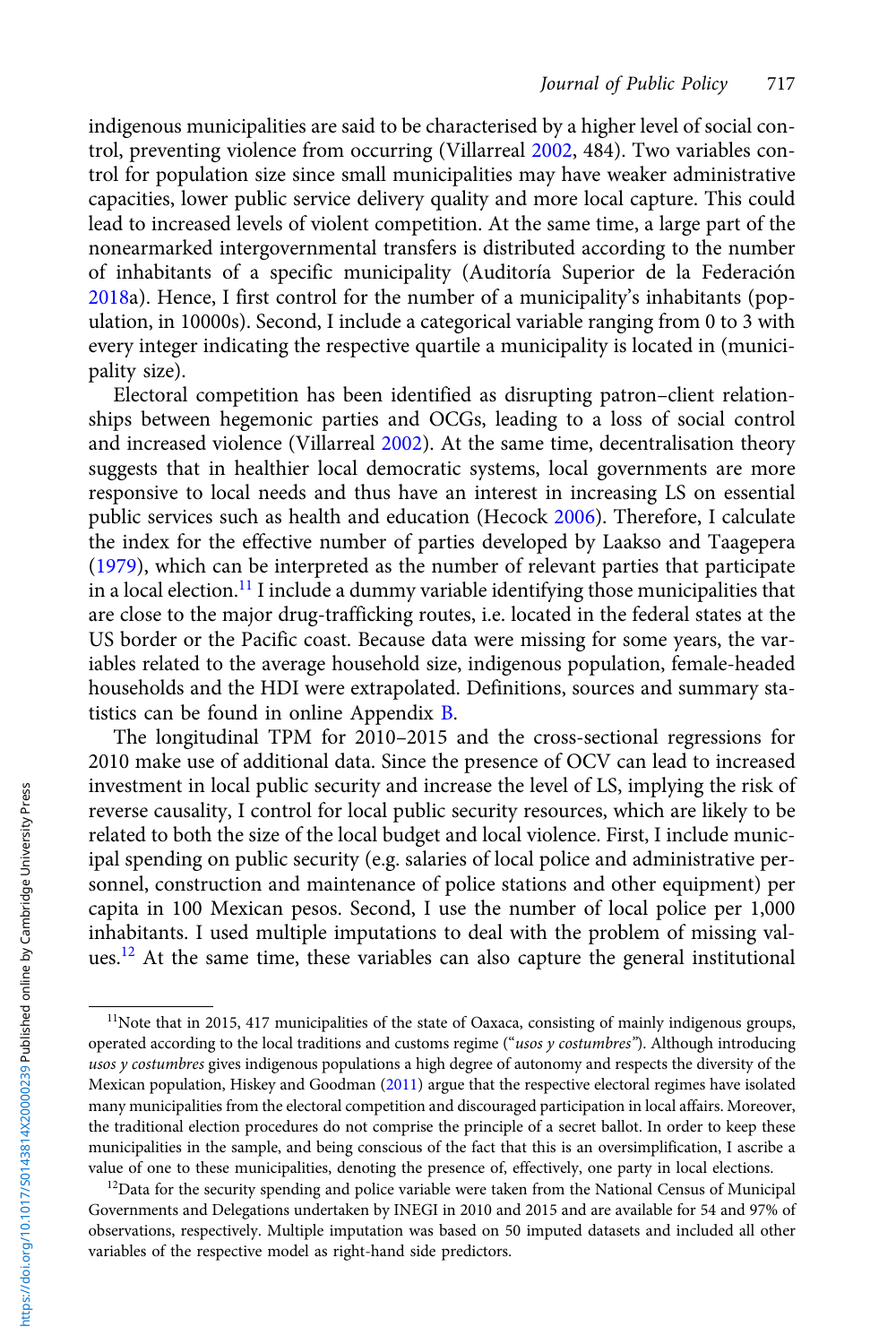indigenous municipalities are said to be characterised by a higher level of social control, preventing violence from occurring (Villarreal [2002](#page-24-0), 484). Two variables control for population size since small municipalities may have weaker administrative capacities, lower public service delivery quality and more local capture. This could lead to increased levels of violent competition. At the same time, a large part of the nonearmarked intergovernmental transfers is distributed according to the number of inhabitants of a specific municipality (Auditoría Superior de la Federación [2018](#page-21-0)a). Hence, I first control for the number of a municipality's inhabitants (population, in 10000s). Second, I include a categorical variable ranging from 0 to 3 with every integer indicating the respective quartile a municipality is located in (municipality size).

Electoral competition has been identified as disrupting patron–client relationships between hegemonic parties and OCGs, leading to a loss of social control and increased violence (Villarreal [2002](#page-24-0)). At the same time, decentralisation theory suggests that in healthier local democratic systems, local governments are more responsive to local needs and thus have an interest in increasing LS on essential public services such as health and education (Hecock [2006](#page-22-0)). Therefore, I calculate the index for the effective number of parties developed by Laakso and Taagepera [\(1979\)](#page-22-0), which can be interpreted as the number of relevant parties that participate in a local election.<sup>11</sup> I include a dummy variable identifying those municipalities that are close to the major drug-trafficking routes, i.e. located in the federal states at the US border or the Pacific coast. Because data were missing for some years, the variables related to the average household size, indigenous population, female-headed households and the HDI were extrapolated. Definitions, sources and summary statistics can be found in online Appendix [B.](https://doi.org/10.1017/S0143814X20000239)

The longitudinal TPM for 2010–2015 and the cross-sectional regressions for 2010 make use of additional data. Since the presence of OCV can lead to increased investment in local public security and increase the level of LS, implying the risk of reverse causality, I control for local public security resources, which are likely to be related to both the size of the local budget and local violence. First, I include municipal spending on public security (e.g. salaries of local police and administrative personnel, construction and maintenance of police stations and other equipment) per capita in 100 Mexican pesos. Second, I use the number of local police per 1,000 inhabitants. I used multiple imputations to deal with the problem of missing values.<sup>12</sup> At the same time, these variables can also capture the general institutional

 $11$ Note that in 2015, 417 municipalities of the state of Oaxaca, consisting of mainly indigenous groups, operated according to the local traditions and customs regime (" $usos y costumbres$ "). Although introducing usos y costumbres gives indigenous populations a high degree of autonomy and respects the diversity of the Mexican population, Hiskey and Goodman ([2011\)](#page-22-0) argue that the respective electoral regimes have isolated many municipalities from the electoral competition and discouraged participation in local affairs. Moreover, the traditional election procedures do not comprise the principle of a secret ballot. In order to keep these municipalities in the sample, and being conscious of the fact that this is an oversimplification, I ascribe a value of one to these municipalities, denoting the presence of, effectively, one party in local elections.

 $12$ Data for the security spending and police variable were taken from the National Census of Municipal Governments and Delegations undertaken by INEGI in 2010 and 2015 and are available for 54 and 97% of observations, respectively. Multiple imputation was based on 50 imputed datasets and included all other variables of the respective model as right-hand side predictors.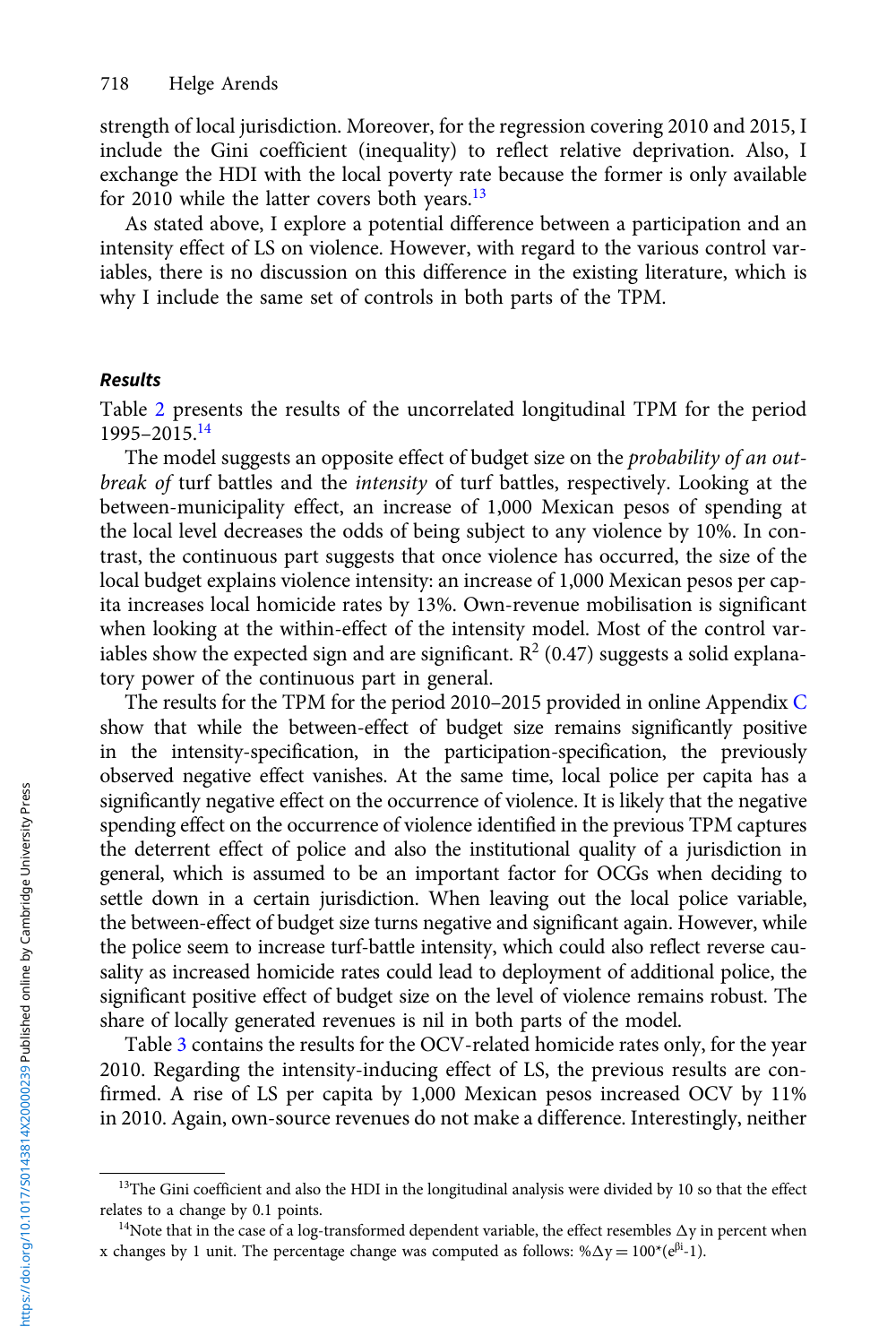strength of local jurisdiction. Moreover, for the regression covering 2010 and 2015, I include the Gini coefficient (inequality) to reflect relative deprivation. Also, I exchange the HDI with the local poverty rate because the former is only available for 2010 while the latter covers both years. $13$ 

As stated above, I explore a potential difference between a participation and an intensity effect of LS on violence. However, with regard to the various control variables, there is no discussion on this difference in the existing literature, which is why I include the same set of controls in both parts of the TPM.

#### Results

Table [2](#page-13-0) presents the results of the uncorrelated longitudinal TPM for the period 1995–2015.<sup>14</sup>

The model suggests an opposite effect of budget size on the *probability of an out*break of turf battles and the intensity of turf battles, respectively. Looking at the between-municipality effect, an increase of 1,000 Mexican pesos of spending at the local level decreases the odds of being subject to any violence by 10%. In contrast, the continuous part suggests that once violence has occurred, the size of the local budget explains violence intensity: an increase of 1,000 Mexican pesos per capita increases local homicide rates by 13%. Own-revenue mobilisation is significant when looking at the within-effect of the intensity model. Most of the control variables show the expected sign and are significant.  $R^2$  (0.47) suggests a solid explanatory power of the continuous part in general.

The results for the TPM for the period 2010–2015 provided in online Appendix [C](https://doi.org/10.1017/S0143814X20000239) show that while the between-effect of budget size remains significantly positive in the intensity-specification, in the participation-specification, the previously observed negative effect vanishes. At the same time, local police per capita has a significantly negative effect on the occurrence of violence. It is likely that the negative spending effect on the occurrence of violence identified in the previous TPM captures the deterrent effect of police and also the institutional quality of a jurisdiction in general, which is assumed to be an important factor for OCGs when deciding to settle down in a certain jurisdiction. When leaving out the local police variable, the between-effect of budget size turns negative and significant again. However, while the police seem to increase turf-battle intensity, which could also reflect reverse causality as increased homicide rates could lead to deployment of additional police, the significant positive effect of budget size on the level of violence remains robust. The share of locally generated revenues is nil in both parts of the model.

Table [3](#page-14-0) contains the results for the OCV-related homicide rates only, for the year 2010. Regarding the intensity-inducing effect of LS, the previous results are confirmed. A rise of LS per capita by 1,000 Mexican pesos increased OCV by 11% in 2010. Again, own-source revenues do not make a difference. Interestingly, neither

 $13$ The Gini coefficient and also the HDI in the longitudinal analysis were divided by 10 so that the effect relates to a change by 0.1 points.

<sup>&</sup>lt;sup>14</sup>Note that in the case of a log-transformed dependent variable, the effect resembles  $\Delta y$  in percent when x changes by 1 unit. The percentage change was computed as follows:  $\% \Delta y = 100^{\circ} (e^{\beta i} - 1)$ .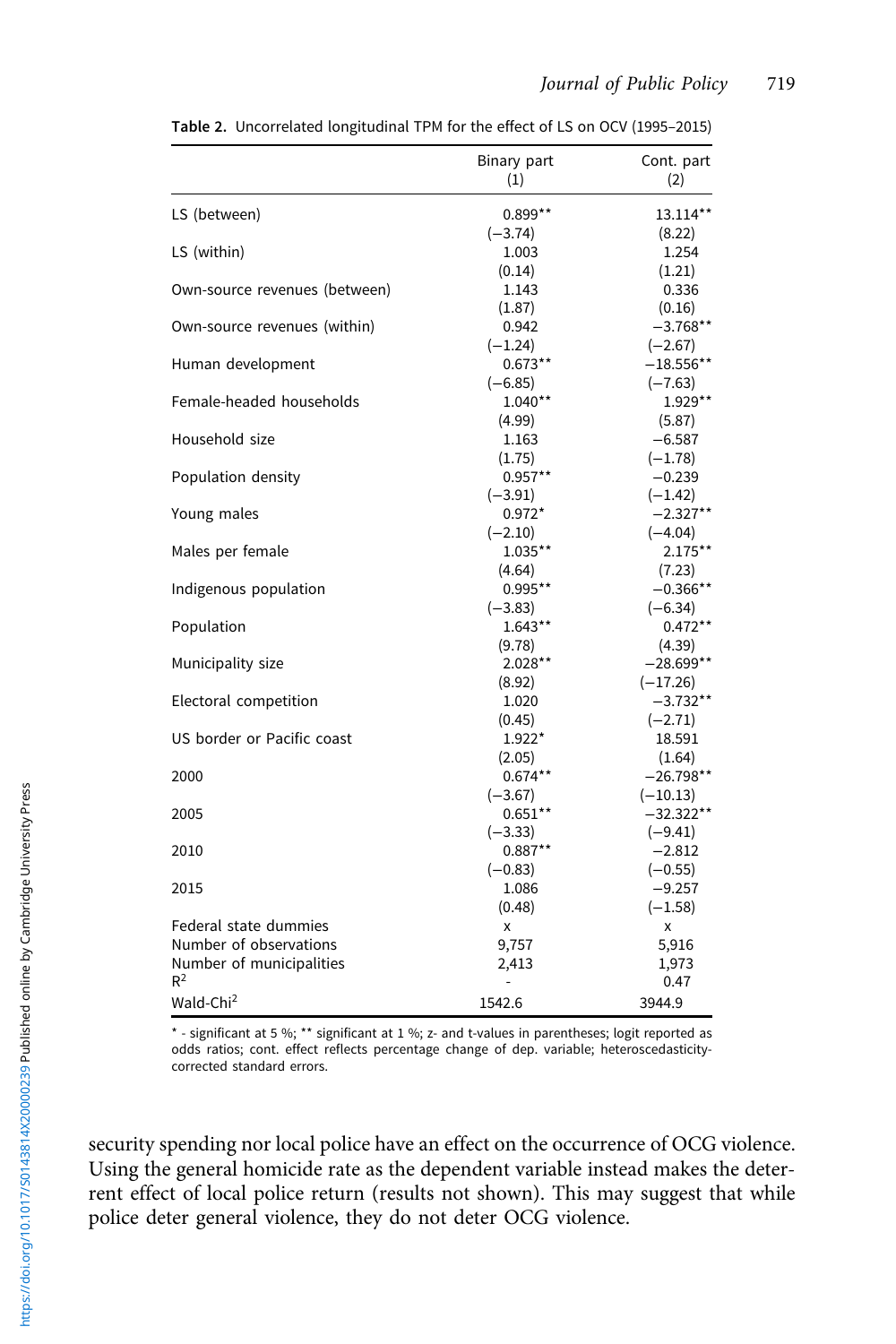|                               | Binary part<br>(1) | Cont. part<br>(2) |
|-------------------------------|--------------------|-------------------|
| LS (between)                  | $0.899**$          | 13.114**          |
|                               | $(-3.74)$          | (8.22)            |
| LS (within)                   | 1.003              | 1.254             |
|                               | (0.14)             | (1.21)            |
| Own-source revenues (between) | 1.143              | 0.336             |
|                               | (1.87)             | (0.16)            |
| Own-source revenues (within)  | 0.942              | $-3.768**$        |
|                               | $(-1.24)$          | $(-2.67)$         |
| Human development             | $0.673**$          | $-18.556**$       |
|                               | $(-6.85)$          | $(-7.63)$         |
| Female-headed households      | $1.040**$          | 1.929**           |
|                               | (4.99)             | (5.87)            |
| Household size                | 1.163              | $-6.587$          |
|                               | (1.75)             | $(-1.78)$         |
| Population density            | $0.957**$          | $-0.239$          |
|                               | $(-3.91)$          | $(-1.42)$         |
| Young males                   | $0.972*$           | $-2.327**$        |
|                               | $(-2.10)$          | $(-4.04)$         |
| Males per female              | 1.035**            | $2.175**$         |
|                               | (4.64)             | (7.23)            |
| Indigenous population         | 0.995**            | $-0.366**$        |
|                               | $(-3.83)$          | $(-6.34)$         |
| Population                    | $1.643**$          | $0.472**$         |
|                               | (9.78)             | (4.39)            |
| Municipality size             | 2.028**            | $-28.699**$       |
|                               | (8.92)             | $(-17.26)$        |
| Electoral competition         | 1.020              | $-3.732**$        |
|                               | (0.45)             | $(-2.71)$         |
| US border or Pacific coast    | $1.922*$           | 18.591            |
|                               | (2.05)             | (1.64)            |
| 2000                          | $0.674**$          | $-26.798**$       |
|                               | $(-3.67)$          | $(-10.13)$        |
| 2005                          | $0.651**$          | $-32.322**$       |
|                               | $(-3.33)$          | $(-9.41)$         |
| 2010                          | $0.887**$          | $-2.812$          |
|                               | $(-0.83)$          | $(-0.55)$         |
| 2015                          | 1.086              | $-9.257$          |
|                               | (0.48)             | $(-1.58)$         |
| Federal state dummies         | X                  | x                 |
| Number of observations        | 9,757              | 5,916             |
| Number of municipalities      | 2,413              | 1,973             |
| $R^2$                         |                    | 0.47              |
| Wald-Chi <sup>2</sup>         | 1542.6             | 3944.9            |

<span id="page-13-0"></span>Table 2. Uncorrelated longitudinal TPM for the effect of LS on OCV (1995–2015)

\* - significant at 5 %; \*\* significant at 1 %; z- and t-values in parentheses; logit reported as odds ratios; cont. effect reflects percentage change of dep. variable; heteroscedasticitycorrected standard errors.

security spending nor local police have an effect on the occurrence of OCG violence. Using the general homicide rate as the dependent variable instead makes the deterrent effect of local police return (results not shown). This may suggest that while police deter general violence, they do not deter OCG violence.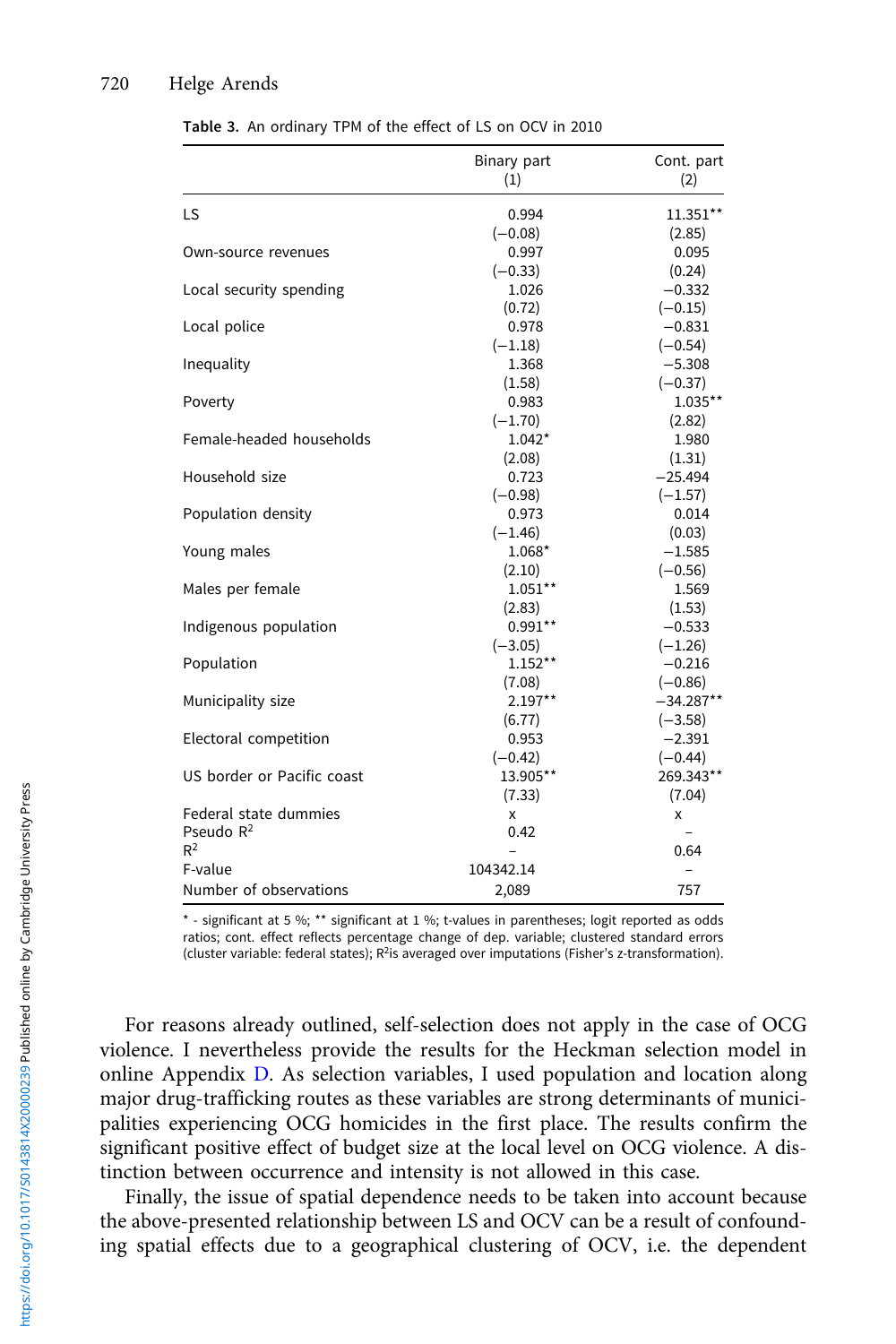#### <span id="page-14-0"></span>720 Helge Arends

|                            | Binary part<br>(1)       | Cont. part<br>(2) |
|----------------------------|--------------------------|-------------------|
| LS                         | 0.994                    | 11.351**          |
|                            | $(-0.08)$                | (2.85)            |
| Own-source revenues        | 0.997                    | 0.095             |
|                            | $(-0.33)$                | (0.24)            |
| Local security spending    | 1.026                    | $-0.332$          |
|                            | (0.72)                   | $(-0.15)$         |
| Local police               | 0.978                    | $-0.831$          |
|                            | $(-1.18)$                | $(-0.54)$         |
| Inequality                 | 1.368                    | $-5.308$          |
|                            | (1.58)                   | $(-0.37)$         |
| Poverty                    | 0.983                    | 1.035**           |
|                            | $(-1.70)$                | (2.82)            |
| Female-headed households   | $1.042*$                 | 1.980             |
|                            | (2.08)                   | (1.31)            |
| Household size             | 0.723                    | $-25.494$         |
|                            | $(-0.98)$                | $(-1.57)$         |
| Population density         | 0.973                    | 0.014             |
|                            | $(-1.46)$                | (0.03)            |
| Young males                | 1.068*                   | $-1.585$          |
|                            | (2.10)                   | $(-0.56)$         |
| Males per female           | $1.051**$                | 1.569             |
|                            | (2.83)                   | (1.53)            |
| Indigenous population      | $0.991**$                | $-0.533$          |
|                            | $(-3.05)$                | $(-1.26)$         |
| Population                 | $1.152**$                | $-0.216$          |
|                            | (7.08)                   | $(-0.86)$         |
| Municipality size          | 2.197**                  | $-34.287**$       |
|                            | (6.77)                   | $(-3.58)$         |
| Electoral competition      | 0.953                    | $-2.391$          |
|                            | $(-0.42)$                | $(-0.44)$         |
| US border or Pacific coast | 13.905**                 | 269.343**         |
|                            | (7.33)                   | (7.04)            |
| Federal state dummies      | x                        | x                 |
| Pseudo R <sup>2</sup>      | 0.42                     |                   |
| R <sup>2</sup>             | $\overline{\phantom{0}}$ | 0.64              |
| F-value                    | 104342.14                | ÷                 |
| Number of observations     | 2,089                    | 757               |

\* - significant at 5 %; \*\* significant at 1 %; t-values in parentheses; logit reported as odds ratios; cont. effect reflects percentage change of dep. variable; clustered standard errors (cluster variable: federal states); R<sup>2</sup>is averaged over imputations (Fisher's z-transformation).

For reasons already outlined, self-selection does not apply in the case of OCG violence. I nevertheless provide the results for the Heckman selection model in online Appendix [D](https://doi.org/10.1017/S0143814X20000239). As selection variables, I used population and location along major drug-trafficking routes as these variables are strong determinants of municipalities experiencing OCG homicides in the first place. The results confirm the significant positive effect of budget size at the local level on OCG violence. A distinction between occurrence and intensity is not allowed in this case.

Finally, the issue of spatial dependence needs to be taken into account because the above-presented relationship between LS and OCV can be a result of confounding spatial effects due to a geographical clustering of OCV, i.e. the dependent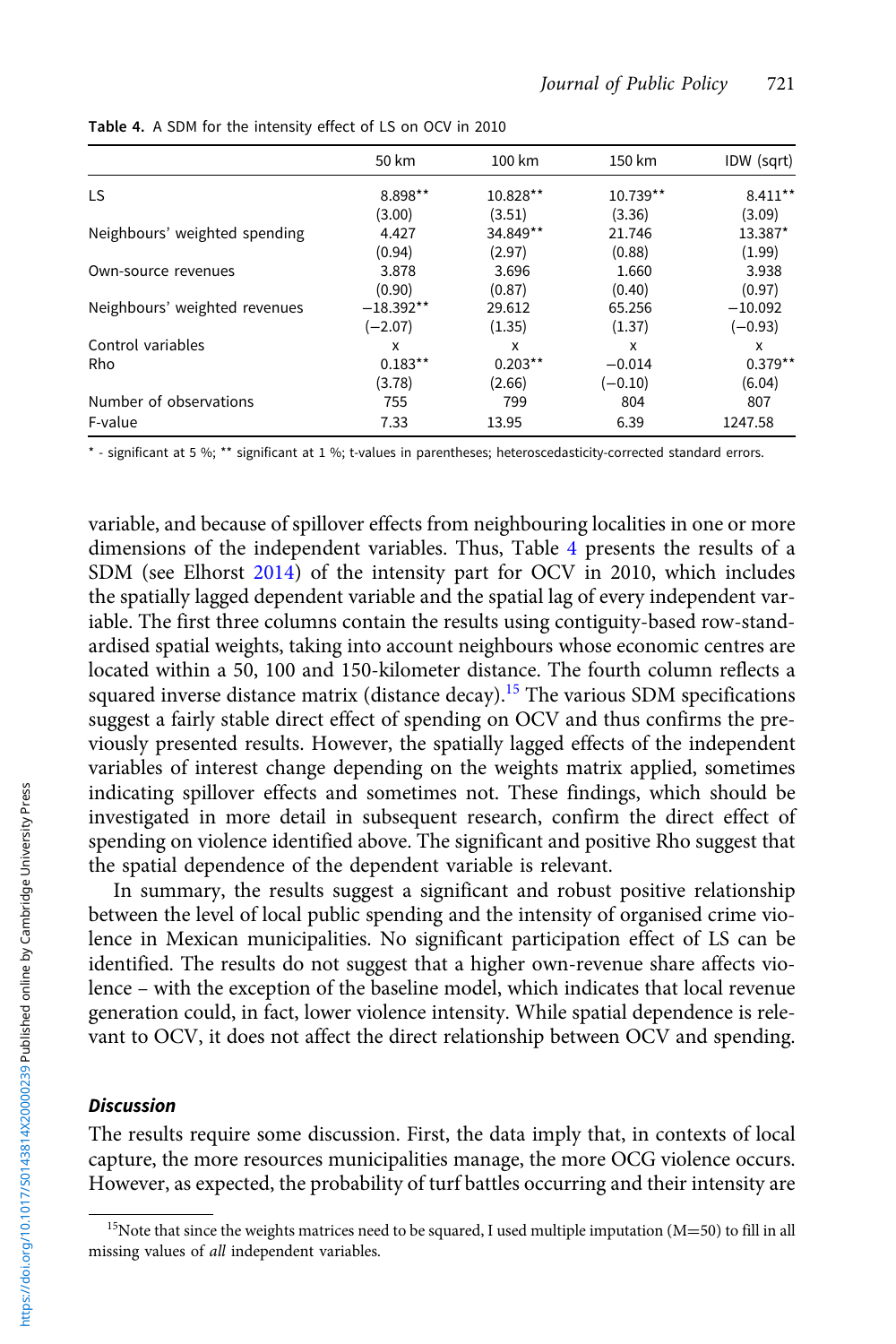|                               | 50 km       | 100 km    | 150 km    | IDW (sqrt) |
|-------------------------------|-------------|-----------|-----------|------------|
| <b>LS</b>                     | 8.898**     | 10.828**  | 10.739**  | $8.411**$  |
|                               | (3.00)      | (3.51)    | (3.36)    | (3.09)     |
| Neighbours' weighted spending | 4.427       | 34.849**  | 21.746    | 13.387*    |
|                               | (0.94)      | (2.97)    | (0.88)    | (1.99)     |
| Own-source revenues           | 3.878       | 3.696     | 1.660     | 3.938      |
|                               | (0.90)      | (0.87)    | (0.40)    | (0.97)     |
| Neighbours' weighted revenues | $-18.392**$ | 29.612    | 65.256    | $-10.092$  |
|                               | $(-2.07)$   | (1.35)    | (1.37)    | (—0.93)    |
| Control variables             | x           | x         | x         | x          |
| Rho                           | $0.183**$   | $0.203**$ | $-0.014$  | $0.379**$  |
|                               | (3.78)      | (2.66)    | $(-0.10)$ | (6.04)     |
| Number of observations        | 755         | 799       | 804       | 807        |
| F-value                       | 7.33        | 13.95     | 6.39      | 1247.58    |

Table 4. A SDM for the intensity effect of LS on OCV in 2010

\* - significant at 5 %; \*\* significant at 1 %; t-values in parentheses; heteroscedasticity-corrected standard errors.

variable, and because of spillover effects from neighbouring localities in one or more dimensions of the independent variables. Thus, Table 4 presents the results of a SDM (see Elhorst [2014\)](#page-21-0) of the intensity part for OCV in 2010, which includes the spatially lagged dependent variable and the spatial lag of every independent variable. The first three columns contain the results using contiguity-based row-standardised spatial weights, taking into account neighbours whose economic centres are located within a 50, 100 and 150-kilometer distance. The fourth column reflects a squared inverse distance matrix (distance decay).<sup>15</sup> The various SDM specifications suggest a fairly stable direct effect of spending on OCV and thus confirms the previously presented results. However, the spatially lagged effects of the independent variables of interest change depending on the weights matrix applied, sometimes indicating spillover effects and sometimes not. These findings, which should be investigated in more detail in subsequent research, confirm the direct effect of spending on violence identified above. The significant and positive Rho suggest that the spatial dependence of the dependent variable is relevant.

In summary, the results suggest a significant and robust positive relationship between the level of local public spending and the intensity of organised crime violence in Mexican municipalities. No significant participation effect of LS can be identified. The results do not suggest that a higher own-revenue share affects violence – with the exception of the baseline model, which indicates that local revenue generation could, in fact, lower violence intensity. While spatial dependence is relevant to OCV, it does not affect the direct relationship between OCV and spending.

## Discussion

The results require some discussion. First, the data imply that, in contexts of local capture, the more resources municipalities manage, the more OCG violence occurs. However, as expected, the probability of turf battles occurring and their intensity are

<sup>&</sup>lt;sup>15</sup>Note that since the weights matrices need to be squared, I used multiple imputation ( $M=50$ ) to fill in all missing values of all independent variables.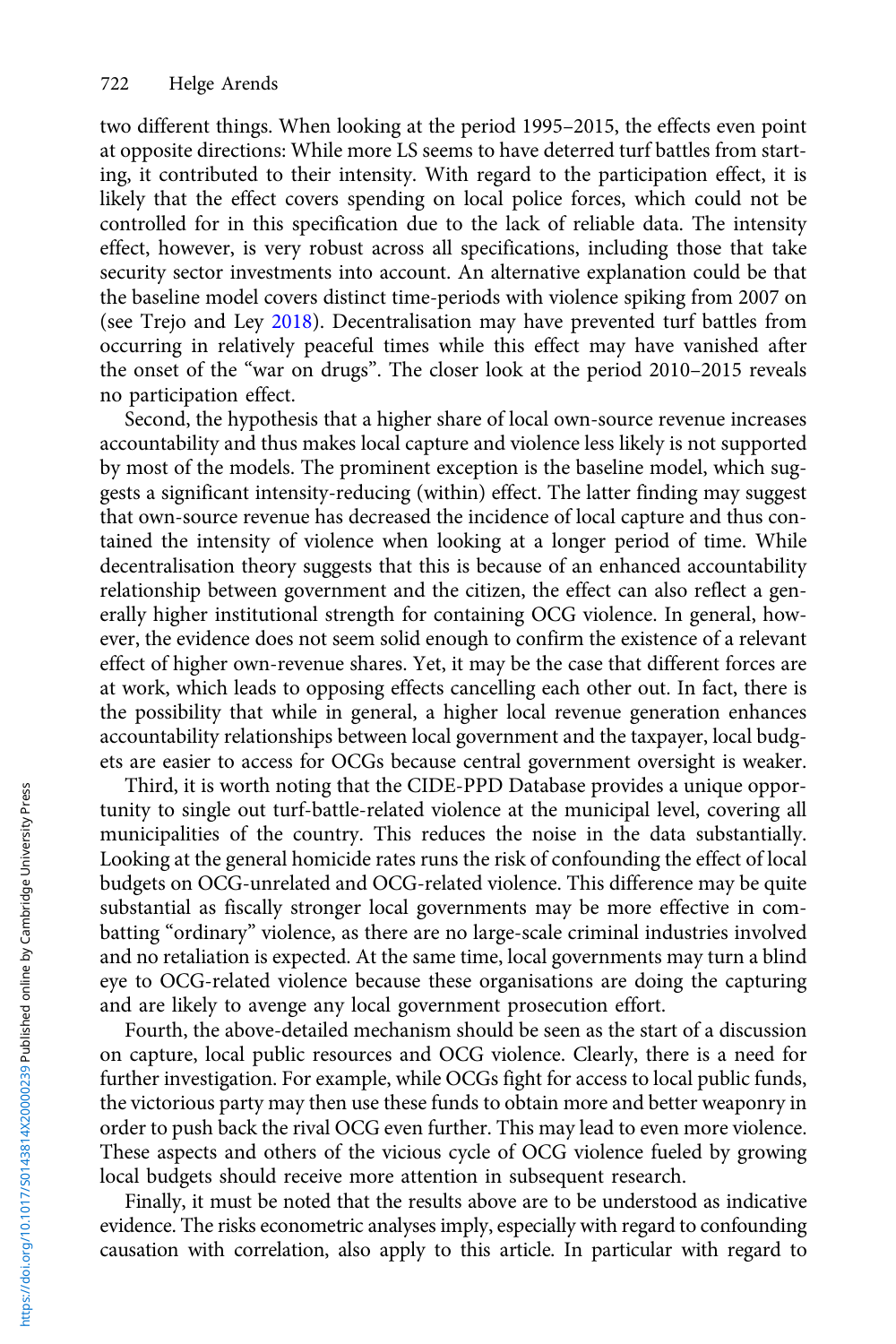two different things. When looking at the period 1995–2015, the effects even point at opposite directions: While more LS seems to have deterred turf battles from starting, it contributed to their intensity. With regard to the participation effect, it is likely that the effect covers spending on local police forces, which could not be controlled for in this specification due to the lack of reliable data. The intensity effect, however, is very robust across all specifications, including those that take security sector investments into account. An alternative explanation could be that the baseline model covers distinct time-periods with violence spiking from 2007 on (see Trejo and Ley [2018](#page-23-0)). Decentralisation may have prevented turf battles from occurring in relatively peaceful times while this effect may have vanished after the onset of the "war on drugs". The closer look at the period 2010–2015 reveals no participation effect.

Second, the hypothesis that a higher share of local own-source revenue increases accountability and thus makes local capture and violence less likely is not supported by most of the models. The prominent exception is the baseline model, which suggests a significant intensity-reducing (within) effect. The latter finding may suggest that own-source revenue has decreased the incidence of local capture and thus contained the intensity of violence when looking at a longer period of time. While decentralisation theory suggests that this is because of an enhanced accountability relationship between government and the citizen, the effect can also reflect a generally higher institutional strength for containing OCG violence. In general, however, the evidence does not seem solid enough to confirm the existence of a relevant effect of higher own-revenue shares. Yet, it may be the case that different forces are at work, which leads to opposing effects cancelling each other out. In fact, there is the possibility that while in general, a higher local revenue generation enhances accountability relationships between local government and the taxpayer, local budgets are easier to access for OCGs because central government oversight is weaker.

Third, it is worth noting that the CIDE-PPD Database provides a unique opportunity to single out turf-battle-related violence at the municipal level, covering all municipalities of the country. This reduces the noise in the data substantially. Looking at the general homicide rates runs the risk of confounding the effect of local budgets on OCG-unrelated and OCG-related violence. This difference may be quite substantial as fiscally stronger local governments may be more effective in combatting "ordinary" violence, as there are no large-scale criminal industries involved and no retaliation is expected. At the same time, local governments may turn a blind eye to OCG-related violence because these organisations are doing the capturing and are likely to avenge any local government prosecution effort.

Fourth, the above-detailed mechanism should be seen as the start of a discussion on capture, local public resources and OCG violence. Clearly, there is a need for further investigation. For example, while OCGs fight for access to local public funds, the victorious party may then use these funds to obtain more and better weaponry in order to push back the rival OCG even further. This may lead to even more violence. These aspects and others of the vicious cycle of OCG violence fueled by growing local budgets should receive more attention in subsequent research.

Finally, it must be noted that the results above are to be understood as indicative evidence. The risks econometric analyses imply, especially with regard to confounding causation with correlation, also apply to this article. In particular with regard to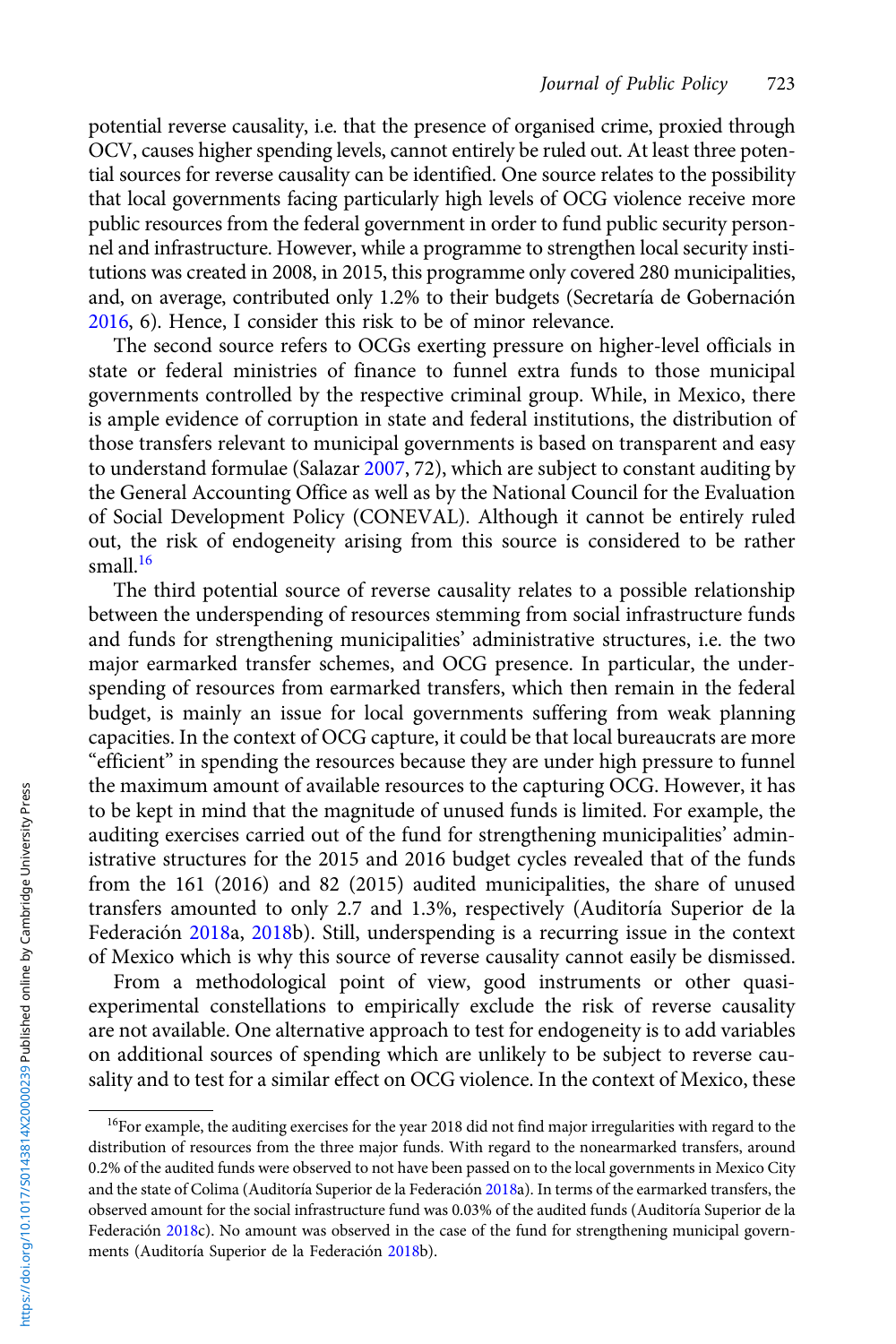potential reverse causality, i.e. that the presence of organised crime, proxied through OCV, causes higher spending levels, cannot entirely be ruled out. At least three potential sources for reverse causality can be identified. One source relates to the possibility that local governments facing particularly high levels of OCG violence receive more public resources from the federal government in order to fund public security personnel and infrastructure. However, while a programme to strengthen local security institutions was created in 2008, in 2015, this programme only covered 280 municipalities, and, on average, contributed only 1.2% to their budgets (Secretaría de Gobernación [2016,](#page-23-0) 6). Hence, I consider this risk to be of minor relevance.

The second source refers to OCGs exerting pressure on higher-level officials in state or federal ministries of finance to funnel extra funds to those municipal governments controlled by the respective criminal group. While, in Mexico, there is ample evidence of corruption in state and federal institutions, the distribution of those transfers relevant to municipal governments is based on transparent and easy to understand formulae (Salazar [2007,](#page-23-0) 72), which are subject to constant auditing by the General Accounting Office as well as by the National Council for the Evaluation of Social Development Policy (CONEVAL). Although it cannot be entirely ruled out, the risk of endogeneity arising from this source is considered to be rather small $16$ 

The third potential source of reverse causality relates to a possible relationship between the underspending of resources stemming from social infrastructure funds and funds for strengthening municipalities' administrative structures, i.e. the two major earmarked transfer schemes, and OCG presence. In particular, the underspending of resources from earmarked transfers, which then remain in the federal budget, is mainly an issue for local governments suffering from weak planning capacities. In the context of OCG capture, it could be that local bureaucrats are more "efficient" in spending the resources because they are under high pressure to funnel the maximum amount of available resources to the capturing OCG. However, it has to be kept in mind that the magnitude of unused funds is limited. For example, the auditing exercises carried out of the fund for strengthening municipalities' administrative structures for the 2015 and 2016 budget cycles revealed that of the funds from the 161 (2016) and 82 (2015) audited municipalities, the share of unused transfers amounted to only 2.7 and 1.3%, respectively (Auditoría Superior de la Federación [2018a](#page-21-0), [2018b](#page-21-0)). Still, underspending is a recurring issue in the context of Mexico which is why this source of reverse causality cannot easily be dismissed.

From a methodological point of view, good instruments or other quasiexperimental constellations to empirically exclude the risk of reverse causality are not available. One alternative approach to test for endogeneity is to add variables on additional sources of spending which are unlikely to be subject to reverse causality and to test for a similar effect on OCG violence. In the context of Mexico, these

<sup>&</sup>lt;sup>16</sup>For example, the auditing exercises for the year 2018 did not find major irregularities with regard to the distribution of resources from the three major funds. With regard to the nonearmarked transfers, around 0.2% of the audited funds were observed to not have been passed on to the local governments in Mexico City and the state of Colima (Auditoría Superior de la Federación [2018a](#page-21-0)). In terms of the earmarked transfers, the observed amount for the social infrastructure fund was 0.03% of the audited funds (Auditoría Superior de la Federación [2018](#page-21-0)c). No amount was observed in the case of the fund for strengthening municipal govern-ments (Auditoría Superior de la Federación [2018b](#page-21-0)).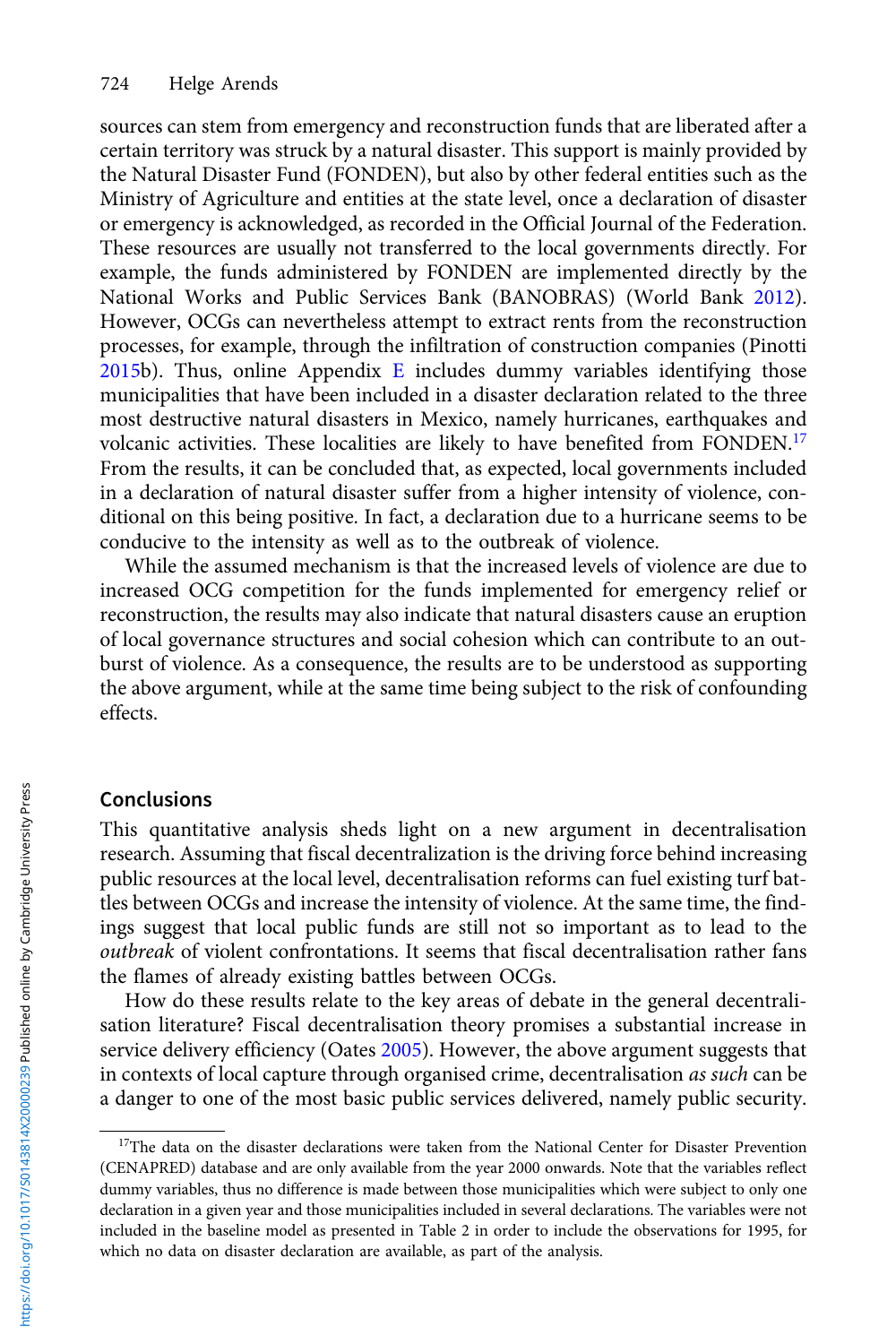sources can stem from emergency and reconstruction funds that are liberated after a certain territory was struck by a natural disaster. This support is mainly provided by the Natural Disaster Fund (FONDEN), but also by other federal entities such as the Ministry of Agriculture and entities at the state level, once a declaration of disaster or emergency is acknowledged, as recorded in the Official Journal of the Federation. These resources are usually not transferred to the local governments directly. For example, the funds administered by FONDEN are implemented directly by the National Works and Public Services Bank (BANOBRAS) (World Bank [2012](#page-24-0)). However, OCGs can nevertheless attempt to extract rents from the reconstruction processes, for example, through the infiltration of construction companies (Pinotti [2015b](#page-23-0)). Thus, online Appendix [E](https://doi.org/10.1017/S0143814X20000239) includes dummy variables identifying those municipalities that have been included in a disaster declaration related to the three most destructive natural disasters in Mexico, namely hurricanes, earthquakes and volcanic activities. These localities are likely to have benefited from FONDEN.<sup>17</sup> From the results, it can be concluded that, as expected, local governments included in a declaration of natural disaster suffer from a higher intensity of violence, conditional on this being positive. In fact, a declaration due to a hurricane seems to be conducive to the intensity as well as to the outbreak of violence.

While the assumed mechanism is that the increased levels of violence are due to increased OCG competition for the funds implemented for emergency relief or reconstruction, the results may also indicate that natural disasters cause an eruption of local governance structures and social cohesion which can contribute to an outburst of violence. As a consequence, the results are to be understood as supporting the above argument, while at the same time being subject to the risk of confounding effects.

# Conclusions

This quantitative analysis sheds light on a new argument in decentralisation research. Assuming that fiscal decentralization is the driving force behind increasing public resources at the local level, decentralisation reforms can fuel existing turf battles between OCGs and increase the intensity of violence. At the same time, the findings suggest that local public funds are still not so important as to lead to the outbreak of violent confrontations. It seems that fiscal decentralisation rather fans the flames of already existing battles between OCGs.

How do these results relate to the key areas of debate in the general decentralisation literature? Fiscal decentralisation theory promises a substantial increase in service delivery efficiency (Oates [2005\)](#page-22-0). However, the above argument suggests that in contexts of local capture through organised crime, decentralisation as such can be a danger to one of the most basic public services delivered, namely public security.

 $17$ The data on the disaster declarations were taken from the National Center for Disaster Prevention (CENAPRED) database and are only available from the year 2000 onwards. Note that the variables reflect dummy variables, thus no difference is made between those municipalities which were subject to only one declaration in a given year and those municipalities included in several declarations. The variables were not included in the baseline model as presented in Table 2 in order to include the observations for 1995, for which no data on disaster declaration are available, as part of the analysis.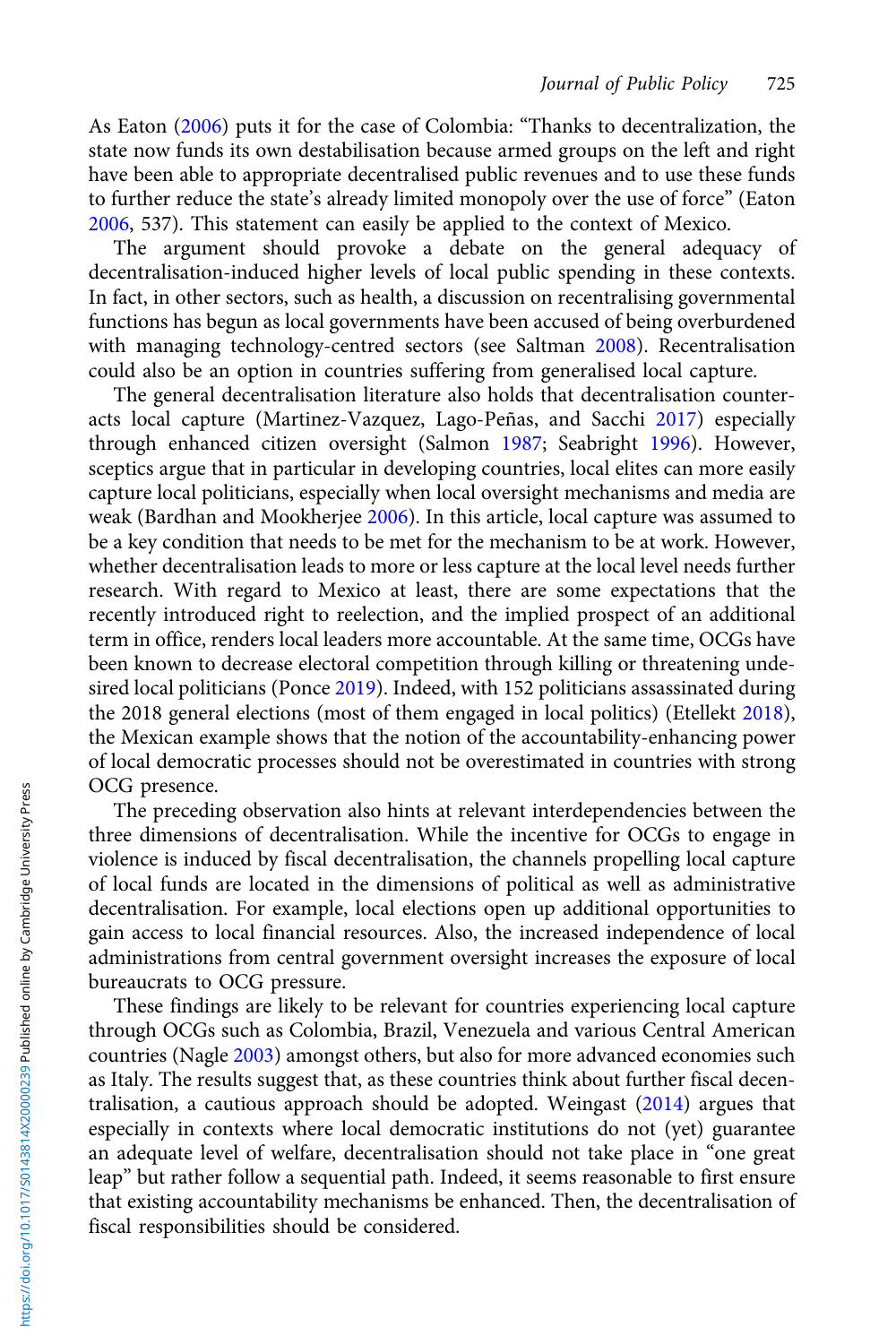As Eaton ([2006\)](#page-21-0) puts it for the case of Colombia: "Thanks to decentralization, the state now funds its own destabilisation because armed groups on the left and right have been able to appropriate decentralised public revenues and to use these funds to further reduce the state's already limited monopoly over the use of force" (Eaton [2006](#page-21-0), 537). This statement can easily be applied to the context of Mexico.

The argument should provoke a debate on the general adequacy of decentralisation-induced higher levels of local public spending in these contexts. In fact, in other sectors, such as health, a discussion on recentralising governmental functions has begun as local governments have been accused of being overburdened with managing technology-centred sectors (see Saltman [2008\)](#page-23-0). Recentralisation could also be an option in countries suffering from generalised local capture.

The general decentralisation literature also holds that decentralisation counter-acts local capture (Martinez-Vazquez, Lago-Peñas, and Sacchi [2017](#page-22-0)) especially through enhanced citizen oversight (Salmon [1987;](#page-23-0) Seabright [1996](#page-23-0)). However, sceptics argue that in particular in developing countries, local elites can more easily capture local politicians, especially when local oversight mechanisms and media are weak (Bardhan and Mookherjee [2006](#page-21-0)). In this article, local capture was assumed to be a key condition that needs to be met for the mechanism to be at work. However, whether decentralisation leads to more or less capture at the local level needs further research. With regard to Mexico at least, there are some expectations that the recently introduced right to reelection, and the implied prospect of an additional term in office, renders local leaders more accountable. At the same time, OCGs have been known to decrease electoral competition through killing or threatening undesired local politicians (Ponce [2019\)](#page-23-0). Indeed, with 152 politicians assassinated during the 2018 general elections (most of them engaged in local politics) (Etellekt [2018\)](#page-21-0), the Mexican example shows that the notion of the accountability-enhancing power of local democratic processes should not be overestimated in countries with strong OCG presence.

The preceding observation also hints at relevant interdependencies between the three dimensions of decentralisation. While the incentive for OCGs to engage in violence is induced by fiscal decentralisation, the channels propelling local capture of local funds are located in the dimensions of political as well as administrative decentralisation. For example, local elections open up additional opportunities to gain access to local financial resources. Also, the increased independence of local administrations from central government oversight increases the exposure of local bureaucrats to OCG pressure.

These findings are likely to be relevant for countries experiencing local capture through OCGs such as Colombia, Brazil, Venezuela and various Central American countries (Nagle [2003\)](#page-22-0) amongst others, but also for more advanced economies such as Italy. The results suggest that, as these countries think about further fiscal decentralisation, a cautious approach should be adopted. Weingast ([2014\)](#page-24-0) argues that especially in contexts where local democratic institutions do not (yet) guarantee an adequate level of welfare, decentralisation should not take place in "one great leap" but rather follow a sequential path. Indeed, it seems reasonable to first ensure that existing accountability mechanisms be enhanced. Then, the decentralisation of fiscal responsibilities should be considered.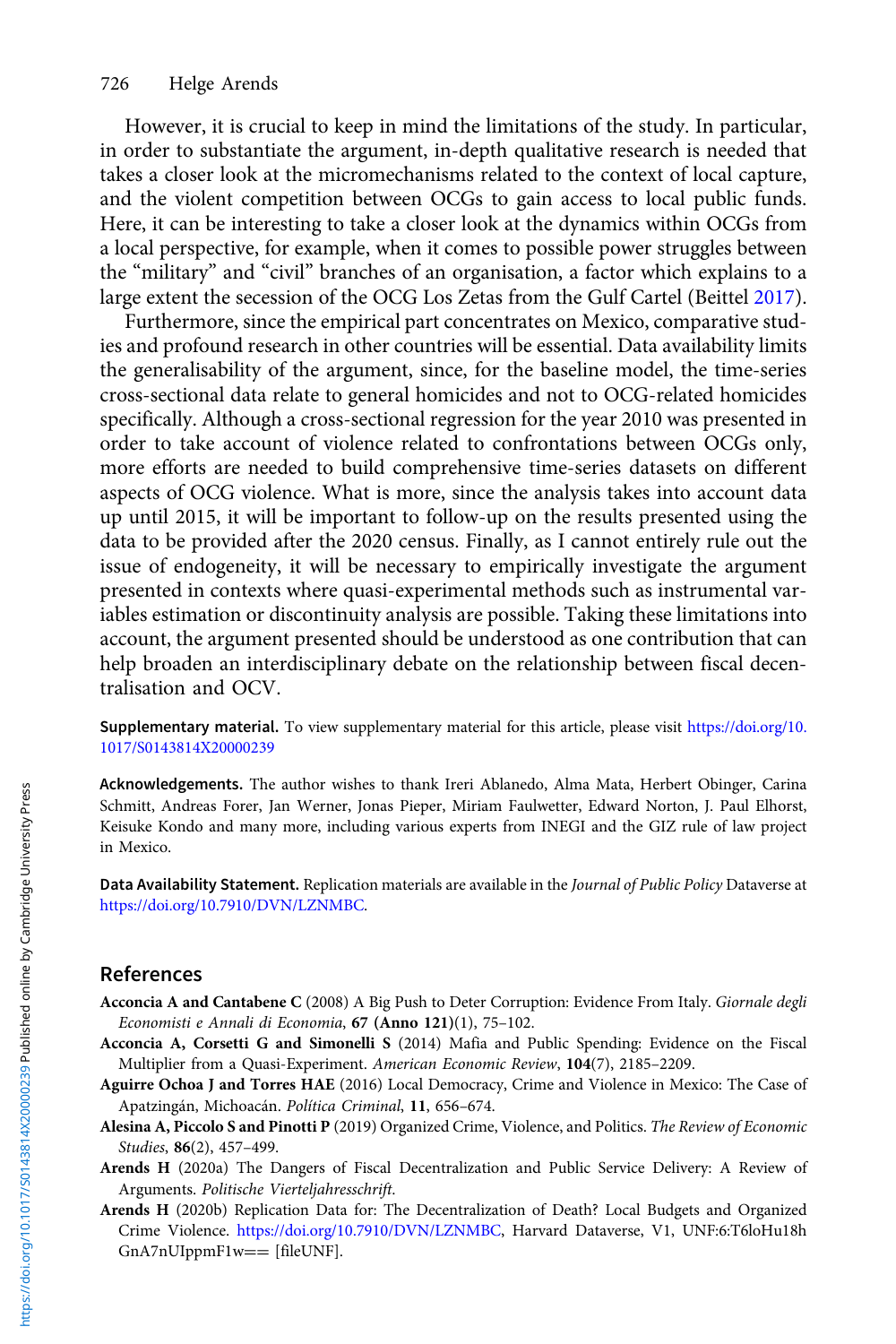<span id="page-20-0"></span>However, it is crucial to keep in mind the limitations of the study. In particular, in order to substantiate the argument, in-depth qualitative research is needed that takes a closer look at the micromechanisms related to the context of local capture, and the violent competition between OCGs to gain access to local public funds. Here, it can be interesting to take a closer look at the dynamics within OCGs from a local perspective, for example, when it comes to possible power struggles between the "military" and "civil" branches of an organisation, a factor which explains to a large extent the secession of the OCG Los Zetas from the Gulf Cartel (Beittel [2017](#page-21-0)).

Furthermore, since the empirical part concentrates on Mexico, comparative studies and profound research in other countries will be essential. Data availability limits the generalisability of the argument, since, for the baseline model, the time-series cross-sectional data relate to general homicides and not to OCG-related homicides specifically. Although a cross-sectional regression for the year 2010 was presented in order to take account of violence related to confrontations between OCGs only, more efforts are needed to build comprehensive time-series datasets on different aspects of OCG violence. What is more, since the analysis takes into account data up until 2015, it will be important to follow-up on the results presented using the data to be provided after the 2020 census. Finally, as I cannot entirely rule out the issue of endogeneity, it will be necessary to empirically investigate the argument presented in contexts where quasi-experimental methods such as instrumental variables estimation or discontinuity analysis are possible. Taking these limitations into account, the argument presented should be understood as one contribution that can help broaden an interdisciplinary debate on the relationship between fiscal decentralisation and OCV.

Supplementary material. To view supplementary material for this article, please visit [https://doi.org/10.](https://doi.org/10.1017/S0143814X20000239) [1017/S0143814X20000239](https://doi.org/10.1017/S0143814X20000239)

Acknowledgements. The author wishes to thank Ireri Ablanedo, Alma Mata, Herbert Obinger, Carina Schmitt, Andreas Forer, Jan Werner, Jonas Pieper, Miriam Faulwetter, Edward Norton, J. Paul Elhorst, Keisuke Kondo and many more, including various experts from INEGI and the GIZ rule of law project in Mexico.

Data Availability Statement. Replication materials are available in the Journal of Public Policy Dataverse at <https://doi.org/10.7910/DVN/LZNMBC>.

# References

- Acconcia A and Cantabene C (2008) A Big Push to Deter Corruption: Evidence From Italy. Giornale degli Economisti e Annali di Economia, 67 (Anno 121)(1), 75–102.
- Acconcia A, Corsetti G and Simonelli S (2014) Mafia and Public Spending: Evidence on the Fiscal Multiplier from a Quasi-Experiment. American Economic Review, 104(7), 2185-2209.
- Aguirre Ochoa J and Torres HAE (2016) Local Democracy, Crime and Violence in Mexico: The Case of Apatzingán, Michoacán. Política Criminal, 11, 656–674.
- Alesina A, Piccolo S and Pinotti P (2019) Organized Crime, Violence, and Politics. The Review of Economic Studies, 86(2), 457–499.
- Arends H (2020a) The Dangers of Fiscal Decentralization and Public Service Delivery: A Review of Arguments. Politische Vierteljahresschrift.
- Arends H (2020b) Replication Data for: The Decentralization of Death? Local Budgets and Organized Crime Violence. [https://doi.org/10.7910/DVN/LZNMBC,](https://doi.org/10.7910/DVN/LZNMBC) Harvard Dataverse, V1, UNF:6:T6loHu18h GnA7nUIppmF1w== [fileUNF].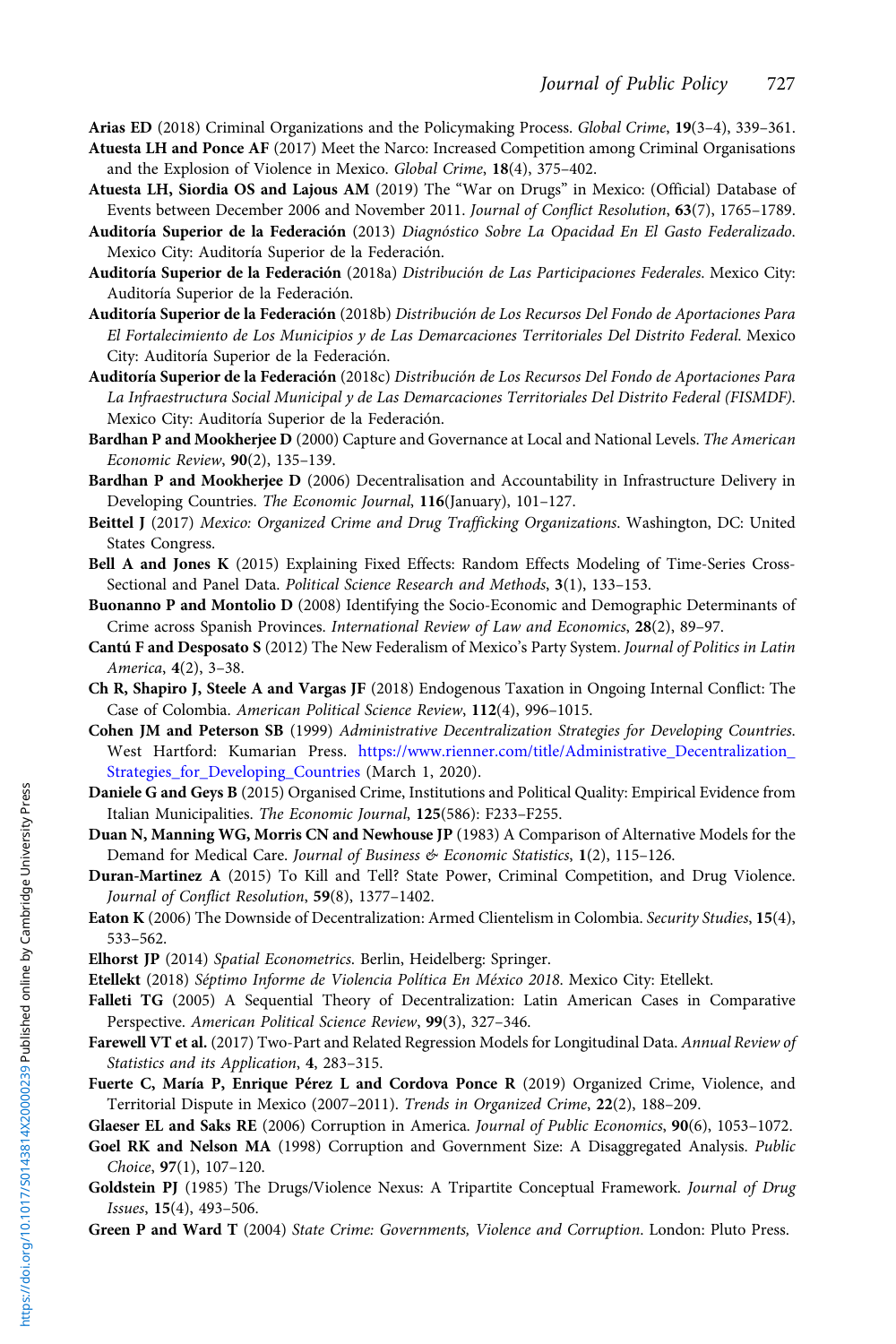<span id="page-21-0"></span>Arias ED (2018) Criminal Organizations and the Policymaking Process. Global Crime, 19(3–4), 339–361.

- Atuesta LH and Ponce AF (2017) Meet the Narco: Increased Competition among Criminal Organisations and the Explosion of Violence in Mexico. Global Crime, 18(4), 375–402.
- Atuesta LH, Siordia OS and Lajous AM (2019) The "War on Drugs" in Mexico: (Official) Database of Events between December 2006 and November 2011. Journal of Conflict Resolution, 63(7), 1765–1789.
- Auditoría Superior de la Federación (2013) Diagnóstico Sobre La Opacidad En El Gasto Federalizado. Mexico City: Auditoría Superior de la Federación.
- Auditoría Superior de la Federación (2018a) Distribución de Las Participaciones Federales. Mexico City: Auditoría Superior de la Federación.
- Auditoría Superior de la Federación (2018b) Distribución de Los Recursos Del Fondo de Aportaciones Para El Fortalecimiento de Los Municipios y de Las Demarcaciones Territoriales Del Distrito Federal. Mexico City: Auditoría Superior de la Federación.
- Auditoría Superior de la Federación (2018c) Distribución de Los Recursos Del Fondo de Aportaciones Para La Infraestructura Social Municipal y de Las Demarcaciones Territoriales Del Distrito Federal (FISMDF). Mexico City: Auditoría Superior de la Federación.
- Bardhan P and Mookherjee D (2000) Capture and Governance at Local and National Levels. The American Economic Review, 90(2), 135–139.
- Bardhan P and Mookherjee D (2006) Decentralisation and Accountability in Infrastructure Delivery in Developing Countries. The Economic Journal, 116(January), 101–127.
- Beittel J (2017) Mexico: Organized Crime and Drug Trafficking Organizations. Washington, DC: United States Congress.
- Bell A and Jones K (2015) Explaining Fixed Effects: Random Effects Modeling of Time-Series Cross-Sectional and Panel Data. Political Science Research and Methods, 3(1), 133-153.
- Buonanno P and Montolio D (2008) Identifying the Socio-Economic and Demographic Determinants of Crime across Spanish Provinces. International Review of Law and Economics, 28(2), 89–97.
- Cantú F and Desposato S (2012) The New Federalism of Mexico's Party System. Journal of Politics in Latin America, 4(2), 3–38.
- Ch R, Shapiro J, Steele A and Vargas JF (2018) Endogenous Taxation in Ongoing Internal Conflict: The Case of Colombia. American Political Science Review, 112(4), 996–1015.
- Cohen JM and Peterson SB (1999) Administrative Decentralization Strategies for Developing Countries. West Hartford: Kumarian Press. [https://www.rienner.com/title/Administrative\\_Decentralization\\_](https://www.rienner.com/title/Administrative_Decentralization_Strategies_for_Developing_Countries) [Strategies\\_for\\_Developing\\_Countries](https://www.rienner.com/title/Administrative_Decentralization_Strategies_for_Developing_Countries) (March 1, 2020).
- Daniele G and Geys B (2015) Organised Crime, Institutions and Political Quality: Empirical Evidence from Italian Municipalities. The Economic Journal, 125(586): F233–F255.
- Duan N, Manning WG, Morris CN and Newhouse JP (1983) A Comparison of Alternative Models for the Demand for Medical Care. Journal of Business & Economic Statistics, 1(2), 115-126.
- Duran-Martinez A (2015) To Kill and Tell? State Power, Criminal Competition, and Drug Violence. Journal of Conflict Resolution, 59(8), 1377–1402.
- Eaton K (2006) The Downside of Decentralization: Armed Clientelism in Colombia. Security Studies, 15(4), 533–562.
- Elhorst JP (2014) Spatial Econometrics. Berlin, Heidelberg: Springer.
- Etellekt (2018) Séptimo Informe de Violencia Política En México 2018. Mexico City: Etellekt.
- Falleti TG (2005) A Sequential Theory of Decentralization: Latin American Cases in Comparative Perspective. American Political Science Review, 99(3), 327–346.
- Farewell VT et al. (2017) Two-Part and Related Regression Models for Longitudinal Data. Annual Review of Statistics and its Application, 4, 283–315.
- Fuerte C, María P, Enrique Pérez L and Cordova Ponce R (2019) Organized Crime, Violence, and Territorial Dispute in Mexico (2007–2011). Trends in Organized Crime, 22(2), 188–209.

Glaeser EL and Saks RE (2006) Corruption in America. Journal of Public Economics, 90(6), 1053-1072.

- Goel RK and Nelson MA (1998) Corruption and Government Size: A Disaggregated Analysis. Public Choice, 97(1), 107–120.
- Goldstein PJ (1985) The Drugs/Violence Nexus: A Tripartite Conceptual Framework. Journal of Drug Issues, 15(4), 493–506.
- Green P and Ward T (2004) State Crime: Governments, Violence and Corruption. London: Pluto Press.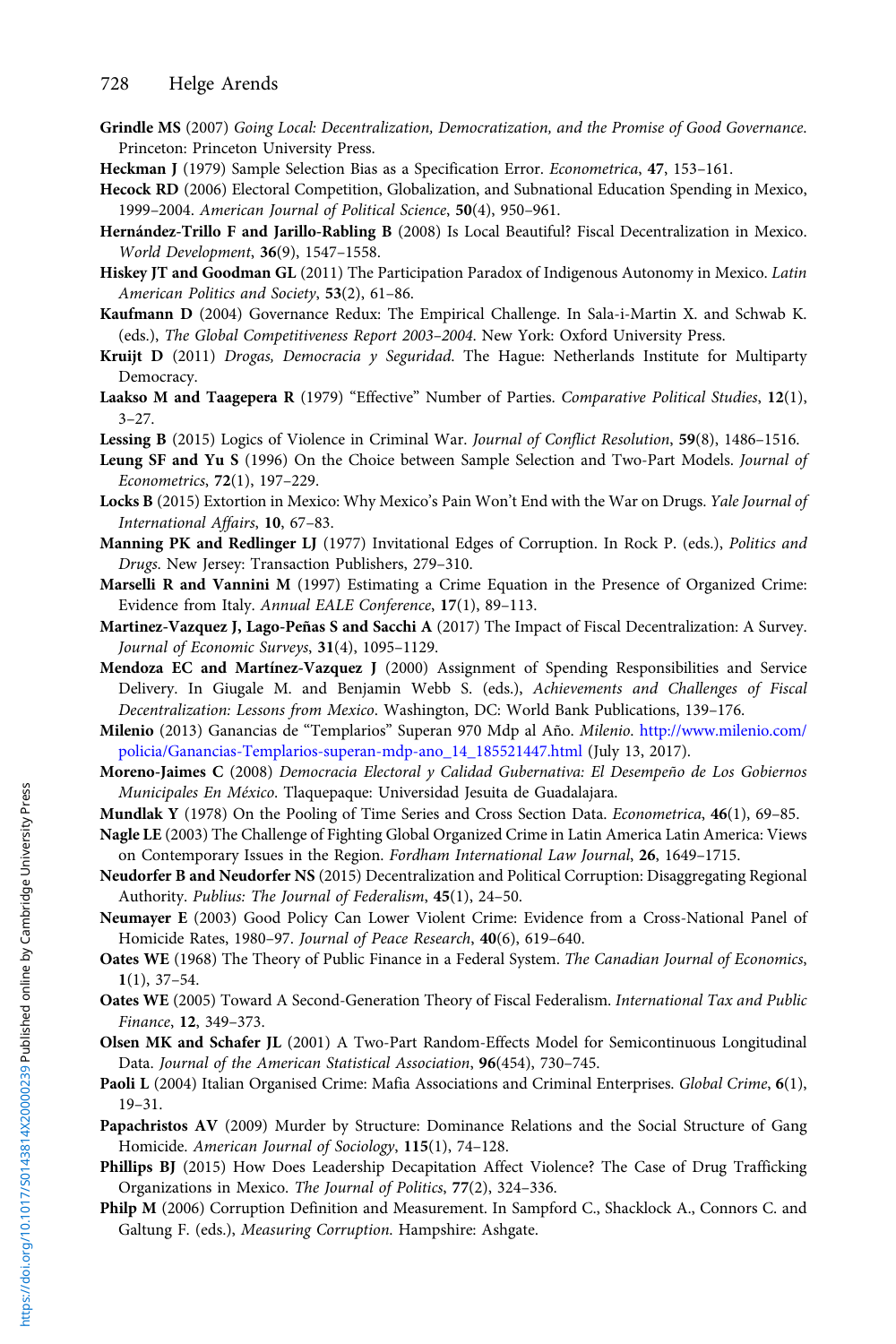- <span id="page-22-0"></span>Grindle MS (2007) Going Local: Decentralization, Democratization, and the Promise of Good Governance. Princeton: Princeton University Press.
- Heckman J (1979) Sample Selection Bias as a Specification Error. Econometrica, 47, 153–161.
- Hecock RD (2006) Electoral Competition, Globalization, and Subnational Education Spending in Mexico, 1999–2004. American Journal of Political Science, 50(4), 950–961.
- Hernández-Trillo F and Jarillo-Rabling B (2008) Is Local Beautiful? Fiscal Decentralization in Mexico. World Development, 36(9), 1547–1558.
- Hiskey JT and Goodman GL (2011) The Participation Paradox of Indigenous Autonomy in Mexico. Latin American Politics and Society, 53(2), 61–86.
- Kaufmann D (2004) Governance Redux: The Empirical Challenge. In Sala-i-Martin X. and Schwab K. (eds.), The Global Competitiveness Report 2003–2004. New York: Oxford University Press.
- Kruijt D (2011) Drogas, Democracia y Seguridad. The Hague: Netherlands Institute for Multiparty Democracy.
- Laakso M and Taagepera R (1979) "Effective" Number of Parties. Comparative Political Studies, 12(1),  $3 - 27$ .
- Lessing B (2015) Logics of Violence in Criminal War. Journal of Conflict Resolution, 59(8), 1486–1516.
- Leung SF and Yu S (1996) On the Choice between Sample Selection and Two-Part Models. Journal of Econometrics, 72(1), 197–229.
- Locks B (2015) Extortion in Mexico: Why Mexico's Pain Won't End with the War on Drugs. Yale Journal of International Affairs, 10, 67–83.
- Manning PK and Redlinger LJ (1977) Invitational Edges of Corruption. In Rock P. (eds.), Politics and Drugs. New Jersey: Transaction Publishers, 279–310.
- Marselli R and Vannini M (1997) Estimating a Crime Equation in the Presence of Organized Crime: Evidence from Italy. Annual EALE Conference, 17(1), 89–113.
- Martinez-Vazquez J, Lago-Peñas S and Sacchi A (2017) The Impact of Fiscal Decentralization: A Survey. Journal of Economic Surveys, 31(4), 1095–1129.
- Mendoza EC and Martínez-Vazquez J (2000) Assignment of Spending Responsibilities and Service Delivery. In Giugale M. and Benjamin Webb S. (eds.), Achievements and Challenges of Fiscal Decentralization: Lessons from Mexico. Washington, DC: World Bank Publications, 139–176.
- Milenio (2013) Ganancias de "Templarios" Superan 970 Mdp al Año. *Milenio.* [http://www.milenio.com/](http://www.milenio.com/policia/Ganancias-Templarios-superan-mdp-ano_14_185521447.html) [policia/Ganancias-Templarios-superan-mdp-ano\\_14\\_185521447.html](http://www.milenio.com/policia/Ganancias-Templarios-superan-mdp-ano_14_185521447.html) (July 13, 2017).
- Moreno-Jaimes C (2008) Democracia Electoral y Calidad Gubernativa: El Desempeño de Los Gobiernos Municipales En México. Tlaquepaque: Universidad Jesuita de Guadalajara.
- Mundlak Y (1978) On the Pooling of Time Series and Cross Section Data. Econometrica, 46(1), 69–85.
- Nagle LE (2003) The Challenge of Fighting Global Organized Crime in Latin America Latin America: Views on Contemporary Issues in the Region. Fordham International Law Journal, 26, 1649–1715.
- Neudorfer B and Neudorfer NS (2015) Decentralization and Political Corruption: Disaggregating Regional Authority. Publius: The Journal of Federalism, 45(1), 24–50.
- Neumayer E (2003) Good Policy Can Lower Violent Crime: Evidence from a Cross-National Panel of Homicide Rates, 1980–97. Journal of Peace Research, 40(6), 619–640.
- Oates WE (1968) The Theory of Public Finance in a Federal System. The Canadian Journal of Economics, 1(1), 37–54.
- Oates WE (2005) Toward A Second-Generation Theory of Fiscal Federalism. International Tax and Public Finance, 12, 349–373.
- Olsen MK and Schafer JL (2001) A Two-Part Random-Effects Model for Semicontinuous Longitudinal Data. Journal of the American Statistical Association, 96(454), 730–745.
- Paoli L (2004) Italian Organised Crime: Mafia Associations and Criminal Enterprises. Global Crime, 6(1), 19–31.
- Papachristos AV (2009) Murder by Structure: Dominance Relations and the Social Structure of Gang Homicide. American Journal of Sociology, 115(1), 74–128.
- Phillips BJ (2015) How Does Leadership Decapitation Affect Violence? The Case of Drug Trafficking Organizations in Mexico. The Journal of Politics, 77(2), 324–336.
- Philp M (2006) Corruption Definition and Measurement. In Sampford C., Shacklock A., Connors C. and Galtung F. (eds.), Measuring Corruption. Hampshire: Ashgate.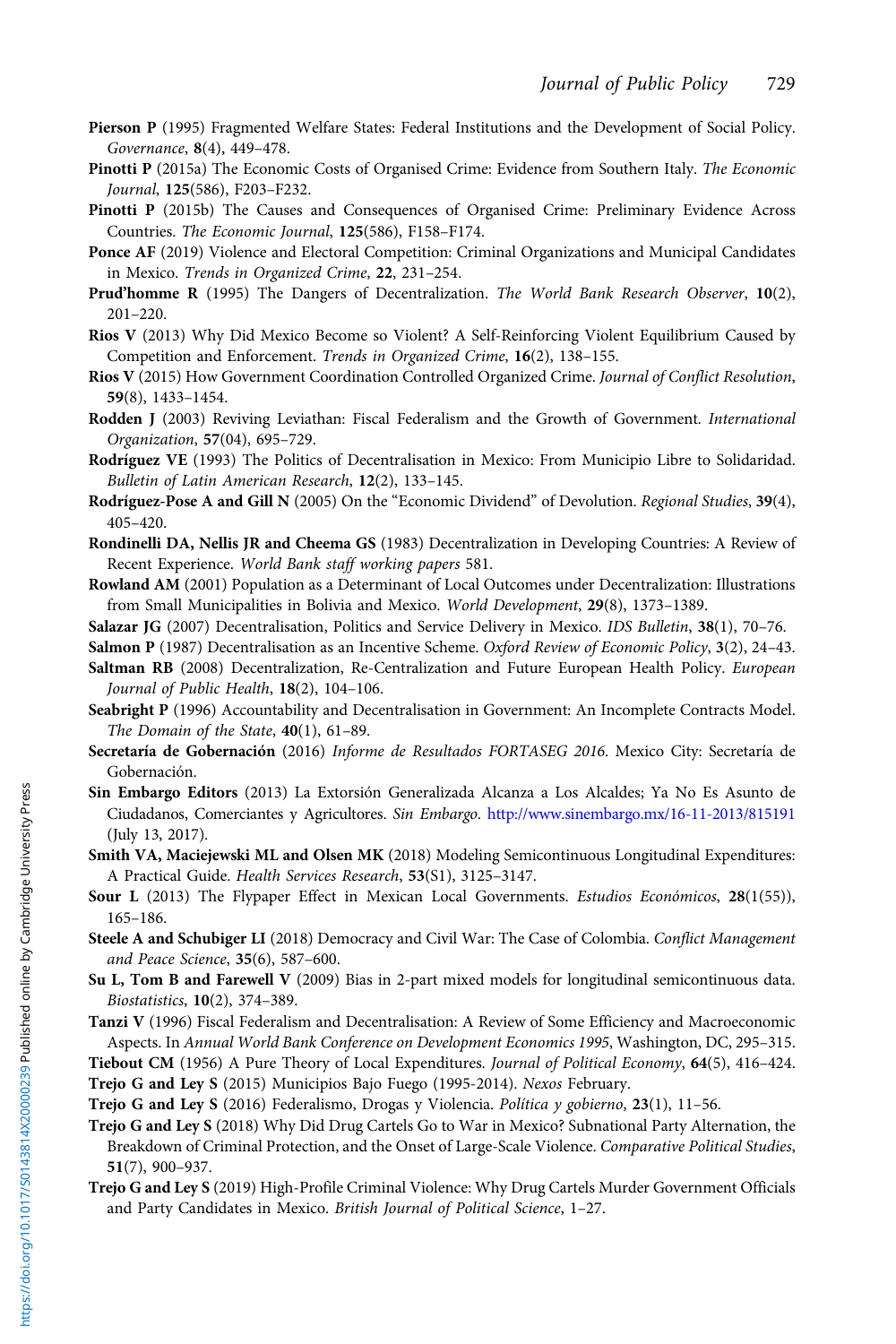- <span id="page-23-0"></span>Pierson P (1995) Fragmented Welfare States: Federal Institutions and the Development of Social Policy. Governance, 8(4), 449–478.
- Pinotti P (2015a) The Economic Costs of Organised Crime: Evidence from Southern Italy. The Economic Journal, 125(586), F203–F232.
- Pinotti P (2015b) The Causes and Consequences of Organised Crime: Preliminary Evidence Across Countries. The Economic Journal, 125(586), F158–F174.
- Ponce AF (2019) Violence and Electoral Competition: Criminal Organizations and Municipal Candidates in Mexico. Trends in Organized Crime, 22, 231–254.
- Prud'homme R (1995) The Dangers of Decentralization. The World Bank Research Observer, 10(2), 201–220.
- Rios V (2013) Why Did Mexico Become so Violent? A Self-Reinforcing Violent Equilibrium Caused by Competition and Enforcement. Trends in Organized Crime, 16(2), 138–155.
- Rios V (2015) How Government Coordination Controlled Organized Crime. Journal of Conflict Resolution, 59(8), 1433–1454.
- Rodden J (2003) Reviving Leviathan: Fiscal Federalism and the Growth of Government. International Organization, 57(04), 695–729.
- Rodríguez VE (1993) The Politics of Decentralisation in Mexico: From Municipio Libre to Solidaridad. Bulletin of Latin American Research, 12(2), 133–145.
- Rodríguez-Pose A and Gill N (2005) On the "Economic Dividend" of Devolution. Regional Studies, 39(4), 405–420.
- Rondinelli DA, Nellis JR and Cheema GS (1983) Decentralization in Developing Countries: A Review of Recent Experience. World Bank staff working papers 581.
- Rowland AM (2001) Population as a Determinant of Local Outcomes under Decentralization: Illustrations from Small Municipalities in Bolivia and Mexico. World Development, 29(8), 1373–1389.
- Salazar JG (2007) Decentralisation, Politics and Service Delivery in Mexico. IDS Bulletin, 38(1), 70–76.
- Salmon P (1987) Decentralisation as an Incentive Scheme. Oxford Review of Economic Policy, 3(2), 24–43.
- Saltman RB (2008) Decentralization, Re-Centralization and Future European Health Policy. European Journal of Public Health, 18(2), 104–106.
- Seabright P (1996) Accountability and Decentralisation in Government: An Incomplete Contracts Model. The Domain of the State, 40(1), 61–89.
- Secretaría de Gobernación (2016) Informe de Resultados FORTASEG 2016. Mexico City: Secretaría de Gobernación.
- Sin Embargo Editors (2013) La Extorsión Generalizada Alcanza a Los Alcaldes; Ya No Es Asunto de Ciudadanos, Comerciantes y Agricultores. Sin Embargo. <http://www.sinembargo.mx/16-11-2013/815191> (July 13, 2017).
- Smith VA, Maciejewski ML and Olsen MK (2018) Modeling Semicontinuous Longitudinal Expenditures: A Practical Guide. Health Services Research, 53(S1), 3125–3147.
- Sour L (2013) The Flypaper Effect in Mexican Local Governments. Estudios Económicos, 28(1(55)), 165–186.
- Steele A and Schubiger LI (2018) Democracy and Civil War: The Case of Colombia. Conflict Management and Peace Science, 35(6), 587–600.
- Su L, Tom B and Farewell V (2009) Bias in 2-part mixed models for longitudinal semicontinuous data. Biostatistics, 10(2), 374–389.
- Tanzi V (1996) Fiscal Federalism and Decentralisation: A Review of Some Efficiency and Macroeconomic Aspects. In Annual World Bank Conference on Development Economics 1995, Washington, DC, 295–315.
- Tiebout CM (1956) A Pure Theory of Local Expenditures. Journal of Political Economy, 64(5), 416–424.
- Trejo G and Ley S (2015) Municipios Bajo Fuego (1995-2014). Nexos February.
- Trejo G and Ley S (2016) Federalismo, Drogas y Violencia. Política y gobierno, 23(1), 11-56.
- Trejo G and Ley S (2018) Why Did Drug Cartels Go to War in Mexico? Subnational Party Alternation, the Breakdown of Criminal Protection, and the Onset of Large-Scale Violence. Comparative Political Studies, 51(7), 900–937.
- Trejo G and Ley S (2019) High-Profile Criminal Violence: Why Drug Cartels Murder Government Officials and Party Candidates in Mexico. British Journal of Political Science, 1–27.